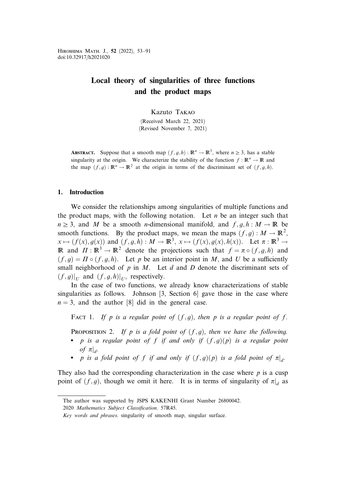Hiroshima Math. J., 52 (2022), 53–91 doi:10.32917/h2021020

# Local theory of singularities of three functions and the product maps

Kazuto Takao

(Received March 22, 2021) (Revised November 7, 2021)

**ABSTRACT.** Suppose that a smooth map  $(f, g, h): \mathbb{R}^n \to \mathbb{R}^3$ , where  $n \geq 3$ , has a stable singularity at the origin. We characterize the stability of the function  $f : \mathbb{R}^n \to \mathbb{R}$  and the map  $(f, g) : \mathbb{R}^n \to \mathbb{R}^2$  at the origin in terms of the discriminant set of  $(f, g, h)$ .

# 1. Introduction

We consider the relationships among singularities of multiple functions and the product maps, with the following notation. Let  $n$  be an integer such that  $n \geq 3$ , and M be a smooth *n*-dimensional manifold, and  $f, g, h : M \to \mathbb{R}$  be smooth functions. By the product maps, we mean the maps  $(f, g) : M \to \mathbb{R}^2$ ,  $x \mapsto (f(x), g(x))$  and  $(f, g, h) : M \to \mathbb{R}^3$ ,  $x \mapsto (f(x), g(x), h(x))$ . Let  $\pi : \mathbb{R}^3 \to$ **R** and  $\Pi : \mathbb{R}^3 \to \mathbb{R}^2$  denote the projections such that  $f = \pi \circ (f, g, h)$  and  $(f, q) = \Pi \circ (f, q, h)$ . Let p be an interior point in M, and U be a sufficiently small neighborhood of  $p$  in  $M$ . Let  $d$  and  $D$  denote the discriminant sets of  $(f,g)|_{U}$  and  $(f,g,h)|_{U}$ , respectively.

In the case of two functions, we already know characterizations of stable singularities as follows. Johnson [3, Section 6] gave those in the case where  $n = 3$ , and the author [8] did in the general case.

FACT 1. If p is a regular point of  $(f, g)$ , then p is a regular point of f.

**PROPOSITION 2.** If p is a fold point of  $(f, g)$ , then we have the following.

- p is a regular point of f if and only if  $(f,g)(p)$  is a regular point of  $\pi|_d$ .
- p is a fold point of f if and only if  $(f,g)(p)$  is a fold point of  $\pi|_d$ .

They also had the corresponding characterization in the case where  $p$  is a cusp point of  $(f, g)$ , though we omit it here. It is in terms of singularity of  $\pi|_d$  as

The author was supported by JSPS KAKENHI Grant Number 26800042.

<sup>2020</sup> Mathematics Subject Classification. 57R45.

Key words and phrases. singularity of smooth map, singular surface.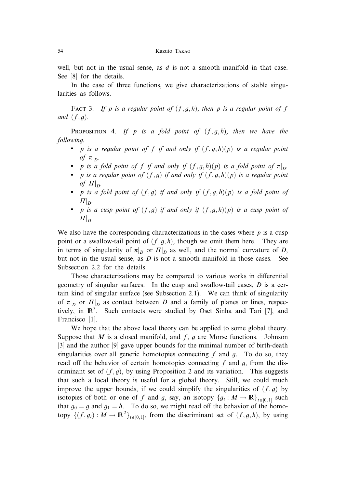well, but not in the usual sense, as  $d$  is not a smooth manifold in that case. See [8] for the details.

In the case of three functions, we give characterizations of stable singularities as follows.

FACT 3. If p is a regular point of  $(f, g, h)$ , then p is a regular point of f and  $(f, q)$ .

**PROPOSITION** 4. If p is a fold point of  $(f, g, h)$ , then we have the following.

- p is a regular point of f if and only if  $(f, g, h)(p)$  is a regular point of  $\pi|_{D}$ .
- p is a fold point of f if and only if  $(f, g, h)(p)$  is a fold point of  $\pi|_{D}$ .
- p is a regular point of  $(f, g)$  if and only if  $(f, g, h)(p)$  is a regular point of  $\left. \Pi\right\vert _{D}.$
- p is a fold point of  $(f, g)$  if and only if  $(f, g, h)(p)$  is a fold point of  $H|_{D}$ .
- p is a cusp point of  $(f, g)$  if and only if  $(f, g, h)(p)$  is a cusp point of  $H|_{D}$ .

We also have the corresponding characterizations in the cases where  $p$  is a cusp point or a swallow-tail point of  $(f, g, h)$ , though we omit them here. They are in terms of singularity of  $\pi|_D$  or  $\Pi|_D$  as well, and the normal curvature of D, but not in the usual sense, as  $D$  is not a smooth manifold in those cases. See Subsection 2.2 for the details.

Those characterizations may be compared to various works in differential geometry of singular surfaces. In the cusp and swallow-tail cases,  $D$  is a certain kind of singular surface (see Subsection 2.1). We can think of singularity of  $\pi|_D$  or  $\Pi|_D$  as contact between D and a family of planes or lines, respectively, in  $\mathbb{R}^3$ . Such contacts were studied by Oset Sinha and Tari [7], and Francisco [1].

We hope that the above local theory can be applied to some global theory. Suppose that M is a closed manifold, and  $f$ ,  $g$  are Morse functions. Johnson [3] and the author [9] gave upper bounds for the minimal number of birth-death singularities over all generic homotopies connecting f and g. To do so, they read off the behavior of certain homotopies connecting  $f$  and  $g$ , from the discriminant set of  $(f, g)$ , by using Proposition 2 and its variation. This suggests that such a local theory is useful for a global theory. Still, we could much improve the upper bounds, if we could simplify the singularities of  $(f, g)$  by isotopies of both or one of f and g, say, an isotopy  $\{g_t : M \to \mathbb{R}\}_{t \in [0,1]}$  such that  $g_0 = g$  and  $g_1 = h$ . To do so, we might read off the behavior of the homotopy  $\{(f, g_t) : M \to \mathbb{R}^2\}_{t \in [0,1]},$  from the discriminant set of  $(f, g, h)$ , by using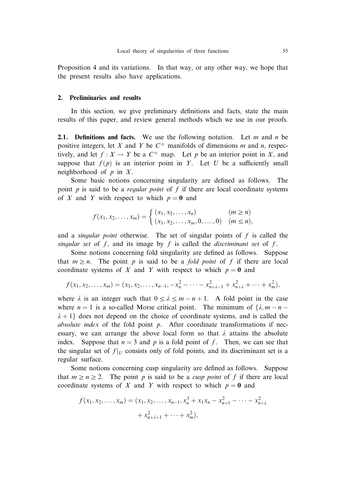Proposition 4 and its variations. In that way, or any other way, we hope that the present results also have applications.

# 2. Preliminaries and results

In this section, we give preliminary definitions and facts, state the main results of this paper, and review general methods which we use in our proofs.

**2.1.** Definitions and facts. We use the following notation. Let m and n be positive integers, let X and Y be  $C^{\infty}$  manifolds of dimensions m and n, respectively, and let  $f: X \to Y$  be a  $C^{\infty}$  map. Let p be an interior point in X, and suppose that  $f(p)$  is an interior point in Y. Let U be a sufficiently small neighborhood of  $p$  in  $X$ .

Some basic notions concerning singularity are defined as follows. The point p is said to be a *regular point* of f if there are local coordinate systems of X and Y with respect to which  $p = 0$  and

$$
f(x_1, x_2,..., x_m) = \begin{cases} (x_1, x_2,..., x_n) & (m \ge n) \\ (x_1, x_2,..., x_m, 0,..., 0) & (m \le n), \end{cases}
$$

and a *singular point* otherwise. The set of singular points of  $f$  is called the singular set of  $f$ , and its image by  $f$  is called the *discriminant set* of  $f$ .

Some notions concerning fold singularity are defined as follows. Suppose that  $m \ge n$ . The point p is said to be a *fold point* of f if there are local coordinate systems of X and Y with respect to which  $p = 0$  and

$$
f(x_1, x_2,..., x_m) = (x_1, x_2,..., x_{n-1}, -x_n^2 - \cdots - x_{n+\lambda-1}^2 + x_{n+\lambda}^2 + \cdots + x_m^2),
$$

where  $\lambda$  is an integer such that  $0 \leq \lambda \leq m - n + 1$ . A fold point in the case where  $n = 1$  is a so-called Morse critical point. The minimum of  $\{\lambda, m - n \lambda + 1$  does not depend on the choice of coordinate systems, and is called the absolute index of the fold point  $p$ . After coordinate transformations if necessary, we can arrange the above local form so that  $\lambda$  attains the absolute index. Suppose that  $n = 3$  and p is a fold point of f. Then, we can see that the singular set of  $f|_U$  consists only of fold points, and its discriminant set is a regular surface.

Some notions concerning cusp singularity are defined as follows. Suppose that  $m \ge n \ge 2$ . The point p is said to be a *cusp point* of f if there are local coordinate systems of X and Y with respect to which  $p = 0$  and

$$
f(x_1, x_2, \dots, x_m) = (x_1, x_2, \dots, x_{n-1}, x_n^3 + x_1 x_n - x_{n+1}^2 - \dots - x_{n+2}^2 + x_{n+2+1}^2 + \dots + x_m^2),
$$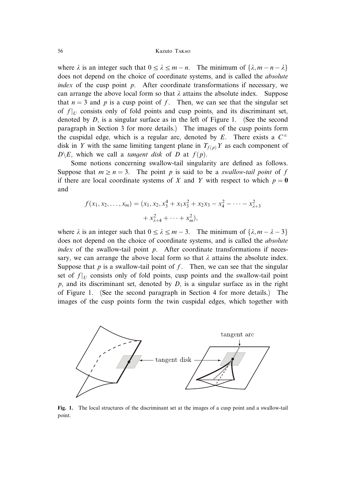where  $\lambda$  is an integer such that  $0 \leq \lambda \leq m - n$ . The minimum of  $\{\lambda, m - n - \lambda\}$ does not depend on the choice of coordinate systems, and is called the *absolute* index of the cusp point  $p$ . After coordinate transformations if necessary, we can arrange the above local form so that  $\lambda$  attains the absolute index. Suppose that  $n = 3$  and p is a cusp point of f. Then, we can see that the singular set of  $f|_U$  consists only of fold points and cusp points, and its discriminant set, denoted by  $D$ , is a singular surface as in the left of Figure 1. (See the second paragraph in Section 3 for more details.) The images of the cusp points form the cuspidal edge, which is a regular arc, denoted by E. There exists a  $C^{\infty}$ disk in Y with the same limiting tangent plane in  $T_{f(p)}$  Y as each component of  $D\backslash E$ , which we call a *tangent disk* of D at  $f(p)$ .

Some notions concerning swallow-tail singularity are defined as follows. Suppose that  $m \ge n = 3$ . The point p is said to be a swallow-tail point of f if there are local coordinate systems of X and Y with respect to which  $p = 0$ and

$$
f(x_1, x_2,..., x_m) = (x_1, x_2, x_3^4 + x_1x_3^2 + x_2x_3 - x_4^2 - \dots - x_{\lambda+3}^2 + x_{\lambda+4}^2 + \dots + x_m^2),
$$

where  $\lambda$  is an integer such that  $0 \le \lambda \le m - 3$ . The minimum of  $\{\lambda, m - \lambda - 3\}$ does not depend on the choice of coordinate systems, and is called the *absolute* index of the swallow-tail point  $p$ . After coordinate transformations if necessary, we can arrange the above local form so that  $\lambda$  attains the absolute index. Suppose that  $p$  is a swallow-tail point of  $f$ . Then, we can see that the singular set of  $f|_U$  consists only of fold points, cusp points and the swallow-tail point  $p$ , and its discriminant set, denoted by  $D$ , is a singular surface as in the right of Figure 1. (See the second paragraph in Section 4 for more details.) The images of the cusp points form the twin cuspidal edges, which together with



Fig. 1. The local structures of the discriminant set at the images of a cusp point and a swallow-tail point.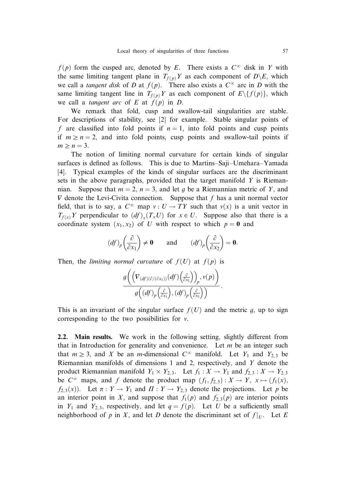$f(p)$  form the cusped arc, denoted by E. There exists a  $C^{\infty}$  disk in Y with the same limiting tangent plane in  $T_{f(p)}Y$  as each component of  $D\backslash E$ , which we call a tangent disk of D at  $f(p)$ . There also exists a  $C^{\infty}$  arc in D with the same limiting tangent line in  $T_{f(p)}Y$  as each component of  $E \setminus \{f(p)\}\)$ , which we call a *tangent arc* of E at  $f(p)$  in D.

We remark that fold, cusp and swallow-tail singularities are stable. For descriptions of stability, see [2] for example. Stable singular points of f are classified into fold points if  $n = 1$ , into fold points and cusp points if  $m \ge n = 2$ , and into fold points, cusp points and swallow-tail points if  $m \geq n = 3$ .

The notion of limiting normal curvature for certain kinds of singular surfaces is defined as follows. This is due to Martins–Saji–Umehara–Yamada [4]. Typical examples of the kinds of singular surfaces are the discriminant sets in the above paragraphs, provided that the target manifold  $Y$  is Riemannian. Suppose that  $m = 2$ ,  $n = 3$ , and let g be a Riemannian metric of Y, and  $\nabla$  denote the Levi-Civita connection. Suppose that f has a unit normal vector field, that is to say, a  $C^{\infty}$  map  $v : U \to TY$  such that  $v(x)$  is a unit vector in  $T_{f(x)}Y$  perpendicular to  $(df)_x(T_xU)$  for  $x \in U$ . Suppose also that there is a coordinate system  $(x_1, x_2)$  of U with respect to which  $p = 0$  and

$$
(df)_p \left(\frac{\partial}{\partial x_1}\right) \neq \mathbf{0}
$$
 and  $(df)_p \left(\frac{\partial}{\partial x_2}\right) = \mathbf{0}.$ 

Then, the *limiting normal curvature* of  $f(U)$  at  $f(p)$  is

$$
\frac{g\bigg(\Big(V_{(df)(\partial/(\partial x_1))}(df)\Big(\frac{\partial}{\partial x_1}\Big)\Big)_p, v(p)\bigg)}{g\Big((df)_p\Big(\frac{\partial}{\partial x_1}\Big),(df)_p\Big(\frac{\partial}{\partial x_1}\Big)\Big)}.
$$

This is an invariant of the singular surface  $f(U)$  and the metric q, up to sign corresponding to the two possibilities for  $\nu$ .

2.2. Main results. We work in the following setting, slightly different from that in Introduction for generality and convenience. Let  $m$  be an integer such that  $m \geq 3$ , and X be an m-dimensional  $C^{\infty}$  manifold. Let Y<sub>1</sub> and Y<sub>2</sub>, 3 be Riemannian manifolds of dimensions 1 and 2, respectively, and Y denote the product Riemannian manifold  $Y_1 \times Y_{2,3}$ . Let  $f_1 : X \to Y_1$  and  $f_{2,3} : X \to Y_{2,3}$ be  $C^{\infty}$  maps, and f denote the product map  $(f_1, f_2, g) : X \to Y$ ,  $x \mapsto (f_1(x))$ ;  $f_{2,3}(x)$ ). Let  $\pi: Y \to Y_1$  and  $\Pi: Y \to Y_{2,3}$  denote the projections. Let p be an interior point in X, and suppose that  $f_1(p)$  and  $f_{2,3}(p)$  are interior points in  $Y_1$  and  $Y_{2,3}$ , respectively, and let  $q = f(p)$ . Let U be a sufficiently small neighborhood of p in X, and let D denote the discriminant set of  $f|_{U}$ . Let E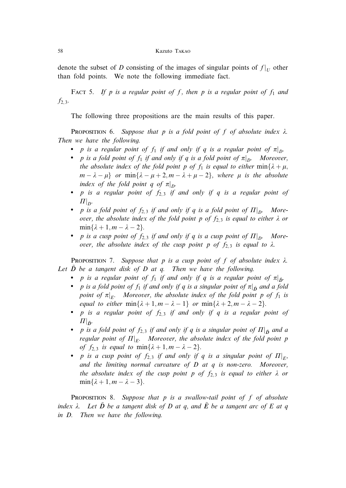denote the subset of D consisting of the images of singular points of  $f|_U$  other than fold points. We note the following immediate fact.

FACT 5. If p is a regular point of f, then p is a regular point of  $f_1$  and  $f_{2,3}$ .

The following three propositions are the main results of this paper.

**PROPOSITION 6.** Suppose that p is a fold point of f of absolute index  $\lambda$ . Then we have the following.

- p is a regular point of  $f_1$  if and only if q is a regular point of  $\pi|_{D}$ .
- p is a fold point of  $f_1$  if and only if q is a fold point of  $\pi|_{D}$ . Moreover, the absolute index of the fold point p of  $f_1$  is equal to either  $\min\{\lambda + \mu,$  $m - \lambda - \mu$  or  $\min{\lambda - \mu + 2, m - \lambda + \mu - 2}$ , where  $\mu$  is the absolute index of the fold point q of  $\pi|_{D}$ .
- $p$  is a regular point of  $f_{2,3}$  if and only if  $q$  is a regular point of  $\Pi|_{D^*}$
- p is a fold point of  $f_{2,3}$  if and only if q is a fold point of  $\Pi|_{D}$ . Moreover, the absolute index of the fold point p of  $f_{2,3}$  is equal to either  $\lambda$  or  $\min\{\lambda + 1, m - \lambda - 2\}.$
- p is a cusp point of  $f_{2,3}$  if and only if q is a cusp point of  $\Pi|_{D}$ . Moreover, the absolute index of the cusp point p of  $f_{2,3}$  is equal to  $\lambda$ .

PROPOSITION 7. Suppose that p is a cusp point of f of absolute index  $\lambda$ . Let  $D$  be a tangent disk of  $D$  at  $q$ . Then we have the following.

- p is a regular point of  $f_1$  if and only if q is a regular point of  $\pi|_{\tilde{D}}$ .
- p is a fold point of  $f_1$  if and only if q is a singular point of  $\pi|_{\tilde{D}}$  and a fold point of  $\pi|_{E}$ . Moreover, the absolute index of the fold point p of  $f_1$  is equal to either  $\min\{\lambda + 1, m - \lambda - 1\}$  or  $\min\{\lambda + 2, m - \lambda - 2\}.$
- $p$  is a regular point of  $f_{2,3}$  if and only if  $q$  is a regular point of  $\Pi|_{\tilde{D}^{\centerdot}}$
- p is a fold point of  $f_{2,3}$  if and only if q is a singular point of  $\Pi|_{\tilde{D}}$  and a regular point of  $\Pi|_{E^*}$  - Moreover, the absolute index of the fold point p of  $f_{2,3}$  is equal to  $\min\{\lambda + 1, m - \lambda - 2\}.$
- p is a cusp point of  $f_{2,3}$  if and only if q is a singular point of  $\Pi|_{E},$ and the limiting normal curvature of  $D$  at  $q$  is non-zero. Moreover, the absolute index of the cusp point p of  $f_{2,3}$  is equal to either  $\lambda$  or  $min\{\lambda + 1, m - \lambda - 3\}.$

PROPOSITION 8. Suppose that p is a swallow-tail point of f of absolute index  $\lambda$ . Let  $\tilde{D}$  be a tangent disk of D at q, and  $\tilde{E}$  be a tangent arc of E at q in D. Then we have the following.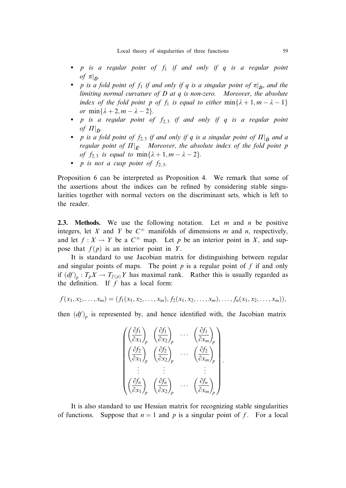- $\bullet$  p is a regular point of  $f_1$  if and only if  $q$  is a regular point of  $\pi|_{\tilde{D}}.$
- p is a fold point of  $f_1$  if and only if q is a singular point of  $\pi|_{\tilde{D}}$ , and the limiting normal curvature of  $D$  at  $q$  is non-zero. Moreover, the absolute index of the fold point p of  $f_1$  is equal to either  $\min\{\lambda + 1, m - \lambda - 1\}$ or  $\min\{\lambda + 2, m - \lambda - 2\}.$
- $p$  is a regular point of  $f_{2,3}$  if and only if  $q$  is a regular point of  $\Pi|_{\tilde{D}^*}$
- p is a fold point of  $f_{2,3}$  if and only if q is a singular point of  $\Pi|_{\tilde{D}}$  and a regular point of  $\Pi|_{\tilde E^*}$  - Moreover, the absolute index of the fold point p of  $f_{2,3}$  is equal to  $\min\{\lambda + 1, m - \lambda - 2\}.$
- p is not a cusp point of  $f_{2,3}$ .

Proposition 6 can be interpreted as Proposition 4. We remark that some of the assertions about the indices can be refined by considering stable singularities together with normal vectors on the discriminant sets, which is left to the reader.

2.3. Methods. We use the following notation. Let  $m$  and  $n$  be positive integers, let X and Y be  $C^{\infty}$  manifolds of dimensions m and n, respectively, and let  $f: X \to Y$  be a  $C^{\infty}$  map. Let p be an interior point in X, and suppose that  $f(p)$  is an interior point in Y.

It is standard to use Jacobian matrix for distinguishing between regular and singular points of maps. The point  $p$  is a regular point of  $f$  if and only if  $(df)_p : T_pX \to T_{f(p)}Y$  has maximal rank. Rather this is usually regarded as the definition. If  $f$  has a local form:

$$
f(x_1, x_2, \ldots, x_m) = (f_1(x_1, x_2, \ldots, x_m), f_2(x_1, x_2, \ldots, x_m), \ldots, f_n(x_1, x_2, \ldots, x_m)),
$$

then  $(df)$ <sub>n</sub> is represented by, and hence identified with, the Jacobian matrix

$$
\begin{pmatrix}\n\left(\frac{\partial f_1}{\partial x_1}\right)_p & \left(\frac{\partial f_1}{\partial x_2}\right)_p & \cdots & \left(\frac{\partial f_1}{\partial x_m}\right)_p \\
\left(\frac{\partial f_2}{\partial x_1}\right)_p & \left(\frac{\partial f_2}{\partial x_2}\right)_p & \cdots & \left(\frac{\partial f_2}{\partial x_m}\right)_p \\
\vdots & \vdots & & \vdots \\
\left(\frac{\partial f_n}{\partial x_1}\right)_p & \left(\frac{\partial f_n}{\partial x_2}\right)_p & \cdots & \left(\frac{\partial f_n}{\partial x_m}\right)_p\n\end{pmatrix}.
$$

It is also standard to use Hessian matrix for recognizing stable singularities of functions. Suppose that  $n = 1$  and p is a singular point of f. For a local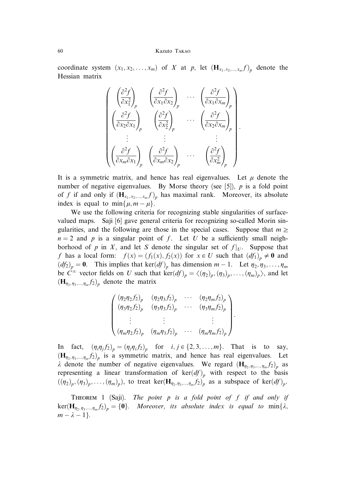coordinate system  $(x_1, x_2, \ldots, x_m)$  of X at p, let  $(\mathbf{H}_{x_1, x_2, \ldots, x_m} f)_p$  denote the Hessian matrix

$$
\begin{pmatrix}\n\left(\frac{\partial^2 f}{\partial x_1^2}\right)_p & \left(\frac{\partial^2 f}{\partial x_1 \partial x_2}\right)_p & \cdots & \left(\frac{\partial^2 f}{\partial x_1 \partial x_m}\right)_p \\
\left(\frac{\partial^2 f}{\partial x_2 \partial x_1}\right)_p & \left(\frac{\partial^2 f}{\partial x_2^2}\right)_p & \cdots & \left(\frac{\partial^2 f}{\partial x_2 \partial x_m}\right)_p \\
\vdots & \vdots & & \vdots \\
\left(\frac{\partial^2 f}{\partial x_m \partial x_1}\right)_p & \left(\frac{\partial^2 f}{\partial x_m \partial x_2}\right)_p & \cdots & \left(\frac{\partial^2 f}{\partial x_m^2}\right)_p\n\end{pmatrix}
$$

:

:

It is a symmetric matrix, and hence has real eigenvalues. Let  $\mu$  denote the number of negative eigenvalues. By Morse theory (see [5]),  $p$  is a fold point of f if and only if  $(\mathbf{H}_{x_1, x_2, ..., x_m} f)_p$  has maximal rank. Moreover, its absolute index is equal to min $\{ \mu, m - \mu \}.$ 

We use the following criteria for recognizing stable singularities of surfacevalued maps. Saji [6] gave general criteria for recognizing so-called Morin singularities, and the following are those in the special cases. Suppose that  $m \geq$  $n = 2$  and p is a singular point of f. Let U be a sufficiently small neighborhood of p in X, and let S denote the singular set of  $f|_{U}$ . Suppose that f has a local form:  $f(x) = (f_1(x), f_2(x))$  for  $x \in U$  such that  $(df_1)_p \neq 0$  and  $(df_2)_p = 0$ . This implies that ker $(df)_p$  has dimension  $m - 1$ . Let  $\eta_2, \eta_3, \ldots, \eta_m$ be  $C^{\infty}$  vector fields on U such that ker $(df)_p = \langle (\eta_2)_p, (\eta_3)_p, \ldots, (\eta_m)_p \rangle$ , and let  $(\mathbf{H}_{\eta_2, \eta_3, \dots, \eta_m} f_2)$  denote the matrix

$$
\begin{pmatrix}\n(\eta_2 \eta_2 f_2)_p & (\eta_2 \eta_3 f_2)_p & \cdots & (\eta_2 \eta_m f_2)_p \\
(\eta_3 \eta_2 f_2)_p & (\eta_3 \eta_3 f_2)_p & \cdots & (\eta_3 \eta_m f_2)_p \\
\vdots & \vdots & & \vdots \\
(\eta_m \eta_2 f_2)_p & (\eta_m \eta_3 f_2)_p & \cdots & (\eta_m \eta_m f_2)_p\n\end{pmatrix}
$$

In fact,  $(\eta_i \eta_j f_2)_p = (\eta_j \eta_i f_2)_p$  for  $i, j \in \{2, 3, \dots, m\}$ . That is to say,  $(\mathbf{H}_{\eta_2,\eta_3,\dots,\eta_m} f_2)_p$  is a symmetric matrix, and hence has real eigenvalues. Let  $\lambda$  denote the number of negative eigenvalues. We regard  $(\mathbf{H}_{\eta_2,\eta_3,\dots,\eta_m}f_2)$  as representing a linear transformation of  $\text{ker}(df)$ <sub>p</sub> with respect to the basis  $((\eta_2)_p, (\eta_3)_p, \ldots, (\eta_m)_p)$ , to treat ker $(\mathbf{H}_{\eta_2, \eta_3, \ldots, \eta_m} f_2)_p$  as a subspace of ker $(df)_p$ .

THEOREM 1 (Saji). The point  $p$  is a fold point of  $f$  if and only if  $\text{ker}(\mathbf{H}_{\eta_2,\eta_3,\dots,\eta_m}f_2)_{p} = \{\mathbf{0}\}.$  Moreover, its absolute index is equal to  $\min\{\lambda,$  $m - \lambda - 1$ .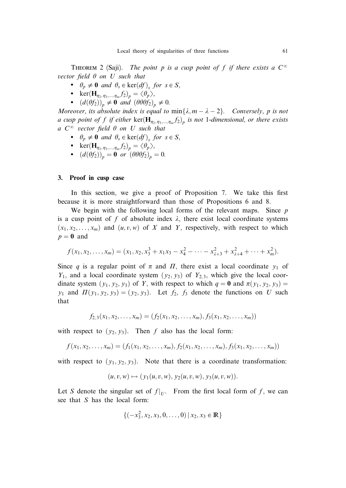THEOREM 2 (Saji). The point p is a cusp point of f if there exists a  $C^{\infty}$ vector field  $\theta$  on U such that

- $\theta_p \neq \mathbf{0}$  and  $\theta_s \in \text{ker}(df)_s$  for  $s \in S$ ,
- ker $(\mathbf{H}_{\eta_2,\eta_3,\dots,\eta_m}f_2)_p = \langle \theta_p \rangle,$
- $(d(\theta f_2))_p \neq \mathbf{0}$  and  $(\theta \theta \theta f_2)_p \neq 0$ .

Moreover, its absolute index is equal to  $min\{\lambda, m - \lambda - 2\}$ . Conversely, p is not a cusp point of f if either  $\ker(\mathbf{H}_{\eta_2,\eta_3,\dots,\eta_m} f_2)$  is not 1-dimensional, or there exists a  $C^{\infty}$  vector field  $\theta$  on U such that

- $\theta_p \neq \mathbf{0}$  and  $\theta_s \in \text{ker}(df)_s$  for  $s \in S$ ,
- ker $(\mathbf{H}_{\eta_2,\eta_3,\dots,\eta_m}f_2)_p = \langle \theta_p \rangle,$
- $(d(\theta f_2))_p = \mathbf{0}$  or  $(\theta \theta \theta f_2)_p = 0$ .

# 3. Proof in cusp case

In this section, we give a proof of Proposition 7. We take this first because it is more straightforward than those of Propositions 6 and 8.

We begin with the following local forms of the relevant maps. Since  $p$ is a cusp point of f of absolute index  $\lambda$ , there exist local coordinate systems  $(x_1, x_2, \ldots, x_m)$  and  $(u, v, w)$  of X and Y, respectively, with respect to which  $p = 0$  and

$$
f(x_1, x_2,..., x_m) = (x_1, x_2, x_3^3 + x_1x_3 - x_4^2 - \cdots - x_{\lambda+3}^2 + x_{\lambda+4}^2 + \cdots + x_m^2).
$$

Since q is a regular point of  $\pi$  and  $\Pi$ , there exist a local coordinate  $y_1$  of  $Y_1$ , and a local coordinate system  $(y_2, y_3)$  of  $Y_{2,3}$ , which give the local coordinate system  $(y_1, y_2, y_3)$  of Y, with respect to which  $q = 0$  and  $\pi(y_1, y_2, y_3) =$  $y_1$  and  $\Pi(y_1, y_2, y_3) = (y_2, y_3)$ . Let  $f_2$ ,  $f_3$  denote the functions on U such that

$$
f_{2,3}(x_1,x_2,\ldots,x_m)=(f_2(x_1,x_2,\ldots,x_m),f_3(x_1,x_2,\ldots,x_m))
$$

with respect to  $(y_2, y_3)$ . Then f also has the local form:

$$
f(x_1, x_2, \ldots, x_m) = (f_1(x_1, x_2, \ldots, x_m), f_2(x_1, x_2, \ldots, x_m), f_3(x_1, x_2, \ldots, x_m))
$$

with respect to  $(y_1, y_2, y_3)$ . Note that there is a coordinate transformation:

$$
(u, v, w) \mapsto (y_1(u, v, w), y_2(u, v, w), y_3(u, v, w)).
$$

Let S denote the singular set of  $f|_{U}$ . From the first local form of f, we can see that S has the local form:

$$
\{(-x_3^2, x_2, x_3, 0, \dots, 0) | x_2, x_3 \in \mathbb{R}\}\
$$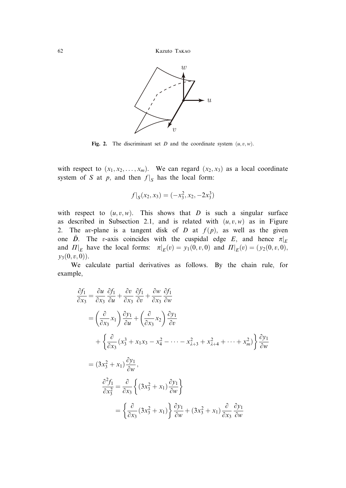

Fig. 2. The discriminant set D and the coordinate system  $(u, v, w)$ .

with respect to  $(x_1, x_2, \ldots, x_m)$ . We can regard  $(x_2, x_3)$  as a local coordinate system of S at p, and then  $f|_S$  has the local form:

$$
f|_{S}(x_2, x_3) = (-x_3^2, x_2, -2x_3^3)
$$

with respect to  $(u, v, w)$ . This shows that D is such a singular surface as described in Subsection 2.1, and is related with  $(u, v, w)$  as in Figure 2. The uv-plane is a tangent disk of  $D$  at  $f(p)$ , as well as the given one  $\tilde{D}$ . The v-axis coincides with the cuspidal edge E, and hence  $\pi|_E$ and  $\Pi|_E$  have the local forms:  $\pi|_E(v) = y_1(0, v, 0)$  and  $\Pi|_E(v) = (y_2(0, v, 0),$  $y_3(0, v, 0)$ .

We calculate partial derivatives as follows. By the chain rule, for example,

$$
\frac{\partial f_1}{\partial x_3} = \frac{\partial u}{\partial x_3} \frac{\partial f_1}{\partial u} + \frac{\partial v}{\partial x_3} \frac{\partial f_1}{\partial v} + \frac{\partial w}{\partial x_3} \frac{\partial f_1}{\partial w}
$$
\n
$$
= \left(\frac{\partial}{\partial x_3} x_1\right) \frac{\partial y_1}{\partial u} + \left(\frac{\partial}{\partial x_3} x_2\right) \frac{\partial y_1}{\partial v}
$$
\n
$$
+ \left\{\frac{\partial}{\partial x_3} (x_3^3 + x_1 x_3 - x_4^2 - \dots - x_{\lambda+3}^2 + x_{\lambda+4}^2 + \dots + x_m^2) \right\} \frac{\partial y_1}{\partial w}
$$
\n
$$
= (3x_3^2 + x_1) \frac{\partial y_1}{\partial w},
$$
\n
$$
\frac{\partial^2 f_1}{\partial x_3^2} = \frac{\partial}{\partial x_3} \left\{ (3x_3^2 + x_1) \frac{\partial y_1}{\partial w} \right\}
$$
\n
$$
= \left\{\frac{\partial}{\partial x_3} (3x_3^2 + x_1) \right\} \frac{\partial y_1}{\partial w} + (3x_3^2 + x_1) \frac{\partial}{\partial x_3} \frac{\partial y_1}{\partial w}
$$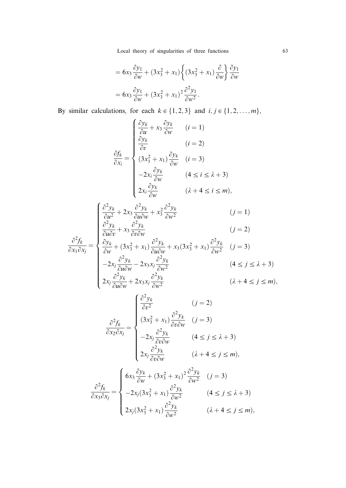Local theory of singularities of three functions 63

$$
= 6x_3 \frac{\partial y_1}{\partial w} + (3x_3^2 + x_1) \left\{ (3x_3^2 + x_1) \frac{\partial}{\partial w} \right\} \frac{\partial y_1}{\partial w}
$$

$$
= 6x_3 \frac{\partial y_1}{\partial w} + (3x_3^2 + x_1)^2 \frac{\partial^2 y_1}{\partial w^2}.
$$

By similar calculations, for each  $k \in \{1, 2, 3\}$  and  $i, j \in \{1, 2, \ldots, m\}$ ,

$$
\frac{\partial f_k}{\partial x_i} = \begin{cases}\n\frac{\partial y_k}{\partial u} + x_3 \frac{\partial y_k}{\partial w} & (i = 1) \\
\frac{\partial y_k}{\partial v} & (i = 2) \\
(3x_3^2 + x_1) \frac{\partial y_k}{\partial w} & (i = 3) \\
-2x_i \frac{\partial y_k}{\partial w} & (4 \le i \le \lambda + 3) \\
2x_i \frac{\partial y_k}{\partial w} & (\lambda + 4 \le i \le m),\n\end{cases}
$$

$$
\begin{cases}\n\frac{\partial^2 y_k}{\partial u^2} + 2x_3 \frac{\partial^2 y_k}{\partial u \partial w} + x_3^2 \frac{\partial^2 y_k}{\partial w^2} & (j = 1) \\
\frac{\partial^2 y_k}{\partial u \partial v} + x_3 \frac{\partial^2 y_k}{\partial v \partial w} & (j = 2) \\
\frac{\partial^2 y_k}{\partial w} + x_3 \frac{\partial^2 y_k}{\partial w^2} & \frac{\partial^2 y_k}{\partial w^2}\n\end{cases}
$$

$$
\frac{\partial^2 f_k}{\partial x_1 \partial x_j} = \begin{cases}\n\frac{\partial y_k}{\partial w} + (3x_3^2 + x_1) \frac{\partial^2 y_k}{\partial u \partial w} + x_3(3x_3^2 + x_1) \frac{\partial^2 y_k}{\partial w^2} & (j = 3) \\
-2x_j \frac{\partial^2 y_k}{\partial u \partial w} - 2x_3 x_j \frac{\partial^2 y_k}{\partial w^2} & (4 \le j \le \lambda + 3) \\
2x_j \frac{\partial^2 y_k}{\partial u \partial w} + 2x_3 x_j \frac{\partial^2 y_k}{\partial w^2} & (\lambda + 4 \le j \le m),\n\end{cases}
$$

$$
\frac{\partial^2 f_k}{\partial x_2 \partial x_j} = \begin{cases}\n\frac{\partial^2 y_k}{\partial v^2} & (j = 2) \\
(3x_3^2 + x_1) \frac{\partial^2 y_k}{\partial v \partial w} & (j = 3) \\
-2x_j \frac{\partial^2 y_k}{\partial v \partial w} & (4 \le j \le \lambda + 3) \\
2x_j \frac{\partial^2 y_k}{\partial v \partial w} & (\lambda + 4 \le j \le m),\n\end{cases}
$$

$$
\frac{\partial^2 f_k}{\partial x_3 \partial x_j} = \begin{cases} 6x_3 \frac{\partial y_k}{\partial w} + (3x_3^2 + x_1)^2 \frac{\partial^2 y_k}{\partial w^2} & (j = 3) \\ -2x_j (3x_3^2 + x_1) \frac{\partial^2 y_k}{\partial w^2} & (4 \le j \le \lambda + 3) \\ 2x_j (3x_3^2 + x_1) \frac{\partial^2 y_k}{\partial w^2} & (\lambda + 4 \le j \le m), \end{cases}
$$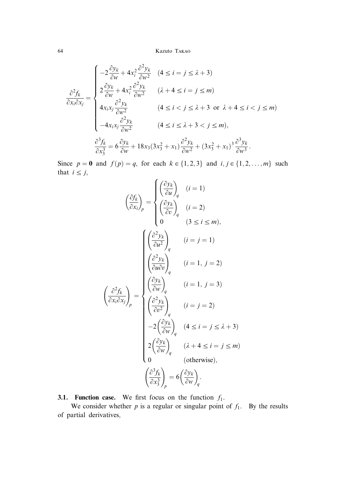$$
\frac{\partial^2 f_k}{\partial x_i \partial x_j} = \begin{cases}\n-2\frac{\partial y_k}{\partial w} + 4x_i^2 \frac{\partial^2 y_k}{\partial w^2} & (4 \le i = j \le \lambda + 3) \\
2\frac{\partial y_k}{\partial w} + 4x_i^2 \frac{\partial^2 y_k}{\partial w^2} & (\lambda + 4 \le i = j \le m) \\
4x_i x_j \frac{\partial^2 y_k}{\partial w^2} & (4 \le i < j \le \lambda + 3 \text{ or } \lambda + 4 \le i < j \le m) \\
-4x_i x_j \frac{\partial^2 y_k}{\partial w^2} & (4 \le i \le \lambda + 3 < j \le m), \\
\frac{\partial^3 f_k}{\partial x_3^3} = 6\frac{\partial y_k}{\partial w} + 18x_3(3x_3^2 + x_1) \frac{\partial^2 y_k}{\partial w^2} + (3x_3^2 + x_1)^3 \frac{\partial^3 y_k}{\partial w^3}.\n\end{cases}
$$

Since  $p = 0$  and  $f(p) = q$ , for each  $k \in \{1, 2, 3\}$  and  $i, j \in \{1, 2, ..., m\}$  such that  $i \leq j$ ,

$$
\left(\frac{\partial f_k}{\partial x_i}\right)_p = \begin{cases}\n\left(\frac{\partial y_k}{\partial u}\right)_q & (i = 1) \\
\left(\frac{\partial y_k}{\partial v}\right)_q & (i = 2) \\
0 & (3 \le i \le m),\n\end{cases}
$$
\n
$$
\left(\frac{\partial^2 y_k}{\partial u^2}\right)_q & (i = j = 1)
$$
\n
$$
\left(\frac{\partial^2 y_k}{\partial u \partial v}\right)_q & (i = 1, j = 2)
$$
\n
$$
\left(\frac{\partial^2 f_k}{\partial x_i \partial x_j}\right)_p = \begin{cases}\n\left(\frac{\partial y_k}{\partial w}\right)_q & (i = 1, j = 3) \\
\left(\frac{\partial^2 y_k}{\partial v^2}\right)_q & (i = j = 2) \\
-2\left(\frac{\partial y_k}{\partial w}\right)_q & (4 \le i = j \le \lambda + 3) \\
2\left(\frac{\partial y_k}{\partial w}\right)_q & (\lambda + 4 \le i = j \le m) \\
0 & \text{(otherwise)},\n\end{cases}
$$
\n
$$
\left(\frac{\partial^3 f_k}{\partial x_3^3}\right)_p = 6\left(\frac{\partial y_k}{\partial w}\right)_q.
$$

3.1. Function case. We first focus on the function  $f_1$ .

We consider whether  $p$  is a regular or singular point of  $f_1$ . By the results of partial derivatives,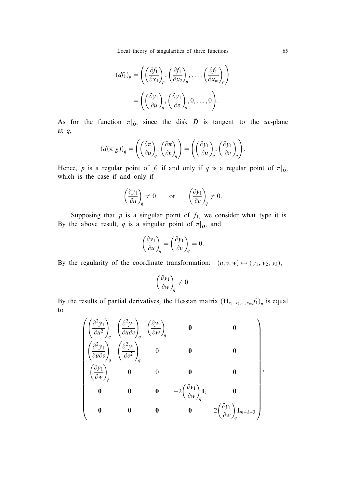Local theory of singularities of three functions 65

$$
(df_1)_p = \left( \left( \frac{\partial f_1}{\partial x_1} \right)_p, \left( \frac{\partial f_1}{\partial x_2} \right)_p, \dots, \left( \frac{\partial f_1}{\partial x_m} \right)_p \right)
$$

$$
= \left( \left( \frac{\partial y_1}{\partial u} \right)_q, \left( \frac{\partial y_1}{\partial v} \right)_q, 0, \dots, 0 \right).
$$

As for the function  $\pi|_{\tilde{D}}$ , since the disk  $\tilde{D}$  is tangent to the uv-plane at q,

$$
\left(d(\pi|_{\bar{D}})\right)_q=\left(\left(\frac{\partial\pi}{\partial u}\right)_q,\left(\frac{\partial\pi}{\partial v}\right)_q\right)=\left(\left(\frac{\partial y_1}{\partial u}\right)_q,\left(\frac{\partial y_1}{\partial v}\right)_q\right).
$$

Hence, p is a regular point of  $f_1$  if and only if q is a regular point of  $\pi|_{\tilde{D}}$ , which is the case if and only if

$$
\left(\frac{\partial y_1}{\partial u}\right)_q\neq 0\qquad\text{or}\qquad \left(\frac{\partial y_1}{\partial v}\right)_q\neq 0.
$$

Supposing that  $p$  is a singular point of  $f_1$ , we consider what type it is. By the above result, q is a singular point of  $\pi|_{\tilde{D}}$ , and

$$
\left(\frac{\partial y_1}{\partial u}\right)_q = \left(\frac{\partial y_1}{\partial v}\right)_q = 0.
$$

By the regularity of the coordinate transformation:  $(u, v, w) \mapsto (y_1, y_2, y_3)$ ,

$$
\left(\frac{\partial y_1}{\partial w}\right)_q \neq 0.
$$

By the results of partial derivatives, the Hessian matrix  $(\mathbf{H}_{x_1, x_2, ..., x_m} f_1)_p$  is equal to

$$
\begin{pmatrix}\n\left(\frac{\partial^2 y_1}{\partial u^2}\right)_q & \left(\frac{\partial^2 y_1}{\partial u \partial v}\right)_q & \left(\frac{\partial y_1}{\partial w}\right)_q & \mathbf{0} & \mathbf{0} \\
\left(\frac{\partial^2 y_1}{\partial u \partial v}\right)_q & \left(\frac{\partial^2 y_1}{\partial v^2}\right)_q & \mathbf{0} & \mathbf{0} & \mathbf{0} \\
\left(\frac{\partial y_1}{\partial w}\right)_q & \mathbf{0} & \mathbf{0} & \mathbf{0} & \mathbf{0} \\
\mathbf{0} & \mathbf{0} & \mathbf{0} & -2\left(\frac{\partial y_1}{\partial w}\right)_q \mathbf{I}_{\lambda} & \mathbf{0} \\
\mathbf{0} & \mathbf{0} & \mathbf{0} & \mathbf{0} & 2\left(\frac{\partial y_1}{\partial w}\right)_q \mathbf{I}_{m-\lambda-3}\n\end{pmatrix},
$$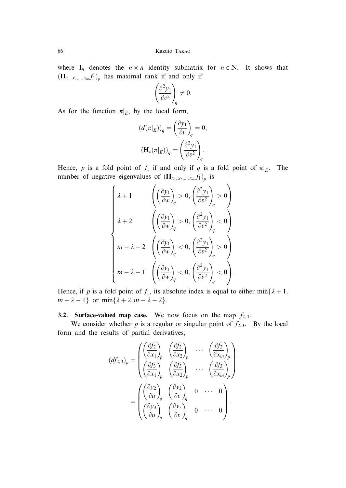where  $I_n$  denotes the  $n \times n$  identity submatrix for  $n \in \mathbb{N}$ . It shows that  $(\mathbf{H}_{x_1, x_2, \dots, x_m, f_1})_p$  has maximal rank if and only if

$$
\left(\frac{\partial^2 y_1}{\partial v^2}\right)_q \neq 0.
$$

As for the function  $\pi|_E$ , by the local form,

$$
\begin{aligned} \left(d(\pi|_E)\right)_q &= \left(\frac{\partial y_1}{\partial v}\right)_q = 0, \\ \left(\mathbf{H}_v(\pi|_E)\right)_q &= \left(\frac{\partial^2 y_1}{\partial v^2}\right)_q. \end{aligned}
$$

Hence, p is a fold point of  $f_1$  if and only if q is a fold point of  $\pi|_E$ . The number of negative eigenvalues of  $(\mathbf{H}_{x_1, x_2, ..., x_m} f_1)_p$  is

$$
\begin{cases} \lambda+1 & \left(\left(\frac{\partial y_1}{\partial w}\right)_q>0, \left(\frac{\partial^2 y_1}{\partial v^2}\right)_q>0\right) \\ \lambda+2 & \left(\left(\frac{\partial y_1}{\partial w}\right)_q>0, \left(\frac{\partial^2 y_1}{\partial v^2}\right)_q<0\right) \\ m-\lambda-2 & \left(\left(\frac{\partial y_1}{\partial w}\right)_q<0, \left(\frac{\partial^2 y_1}{\partial v^2}\right)_q>0\right) \\ m-\lambda-1 & \left(\left(\frac{\partial y_1}{\partial w}\right)_q<0, \left(\frac{\partial^2 y_1}{\partial v^2}\right)_q<0\right). \end{cases}
$$

Hence, if p is a fold point of  $f_1$ , its absolute index is equal to either min $\{\lambda + 1,$  $m - \lambda - 1$ } or min{ $\lambda + 2, m - \lambda - 2$ }.

# **3.2. Surface-valued map case.** We now focus on the map  $f_{2,3}$ .

We consider whether p is a regular or singular point of  $f_2$ , By the local form and the results of partial derivatives,

$$
(df_{2,3})_p = \begin{pmatrix} \left(\frac{\partial f_2}{\partial x_1}\right)_p & \left(\frac{\partial f_2}{\partial x_2}\right)_p & \cdots & \left(\frac{\partial f_2}{\partial x_m}\right)_p\\ \left(\frac{\partial f_3}{\partial x_1}\right)_p & \left(\frac{\partial f_3}{\partial x_2}\right)_p & \cdots & \left(\frac{\partial f_3}{\partial x_m}\right)_p \end{pmatrix}
$$

$$
= \begin{pmatrix} \left(\frac{\partial y_2}{\partial u}\right)_q & \left(\frac{\partial y_2}{\partial v}\right)_q & 0 & \cdots & 0\\ \left(\frac{\partial y_3}{\partial u}\right)_q & \left(\frac{\partial y_3}{\partial v}\right)_q & 0 & \cdots & 0 \end{pmatrix}.
$$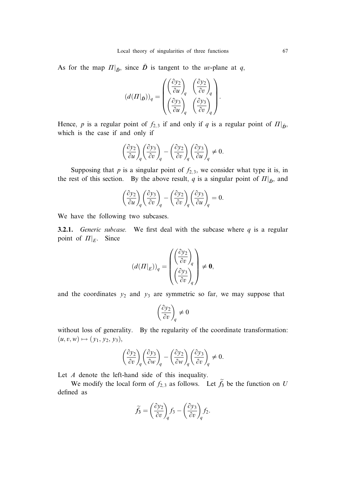As for the map  $\Pi|_{\tilde{D}}$ , since  $\tilde{D}$  is tangent to the uv-plane at q,

$$
\left(d(\varPi|_{\bar{D}})\right)_q=\begin{pmatrix} \left(\frac{\partial y_2}{\partial u}\right)_q & \left(\frac{\partial y_2}{\partial v}\right)_q \\ \left(\frac{\partial y_3}{\partial u}\right)_q & \left(\frac{\partial y_3}{\partial v}\right)_q \end{pmatrix}.
$$

Hence, p is a regular point of  $f_{2,3}$  if and only if q is a regular point of  $\Pi|_{\tilde{D}}$ , which is the case if and only if

$$
\left(\frac{\partial y_2}{\partial u}\right)_q\left(\frac{\partial y_3}{\partial v}\right)_q-\left(\frac{\partial y_2}{\partial v}\right)_q\left(\frac{\partial y_3}{\partial u}\right)_q\neq 0.
$$

Supposing that  $p$  is a singular point of  $f_{2,3}$ , we consider what type it is, in the rest of this section. By the above result, q is a singular point of  $\Pi|_{\tilde{D}}$ , and

$$
\left(\frac{\partial y_2}{\partial u}\right)_q \left(\frac{\partial y_3}{\partial v}\right)_q - \left(\frac{\partial y_2}{\partial v}\right)_q \left(\frac{\partial y_3}{\partial u}\right)_q = 0.
$$

We have the following two subcases.

**3.2.1.** Generic subcase. We first deal with the subcase where  $q$  is a regular point of  $\Pi|_E$ . Since

$$
\left(d(\boldsymbol{\varPi}|_{E})\right)_q = \begin{pmatrix} \left(\frac{\partial y_2}{\partial v}\right)_q \\ \left(\frac{\partial y_3}{\partial v}\right)_q \end{pmatrix} \neq \boldsymbol{0},
$$

and the coordinates  $y_2$  and  $y_3$  are symmetric so far, we may suppose that

$$
\left(\frac{\partial y_2}{\partial v}\right)_q\neq 0
$$

without loss of generality. By the regularity of the coordinate transformation:  $(u, v, w) \mapsto (y_1, y_2, y_3),$ 

$$
\left(\frac{\partial y_2}{\partial v}\right)_q\left(\frac{\partial y_3}{\partial w}\right)_q-\left(\frac{\partial y_2}{\partial w}\right)_q\left(\frac{\partial y_3}{\partial v}\right)_q\neq 0.
$$

Let A denote the left-hand side of this inequality.

We modify the local form of  $f_{2,3}$  as follows. Let  $\tilde{f}_3$  be the function on U defined as

$$
\widetilde{f}_3 = \left(\frac{\partial y_2}{\partial v}\right)_q f_3 - \left(\frac{\partial y_3}{\partial v}\right)_q f_2.
$$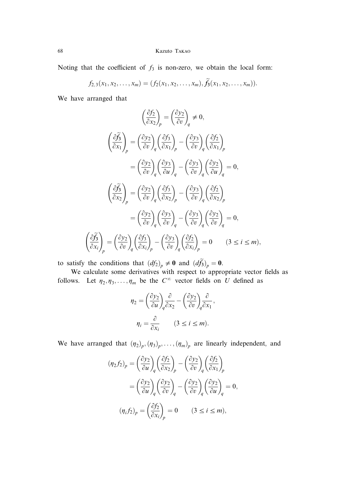Noting that the coefficient of  $f_3$  is non-zero, we obtain the local form:

$$
f_{2,3}(x_1,x_2,\ldots,x_m)=(f_2(x_1,x_2,\ldots,x_m),\tilde{f}_3(x_1,x_2,\ldots,x_m)).
$$

We have arranged that

$$
\left(\frac{\partial f_2}{\partial x_2}\right)_p = \left(\frac{\partial y_2}{\partial v}\right)_q \neq 0,
$$
\n
$$
\left(\frac{\partial f_3}{\partial x_1}\right)_p = \left(\frac{\partial y_2}{\partial v}\right)_q \left(\frac{\partial f_3}{\partial x_1}\right)_p - \left(\frac{\partial y_3}{\partial v}\right)_q \left(\frac{\partial f_2}{\partial x_1}\right)_p
$$
\n
$$
= \left(\frac{\partial y_2}{\partial v}\right)_q \left(\frac{\partial y_3}{\partial u}\right)_q - \left(\frac{\partial y_3}{\partial v}\right)_q \left(\frac{\partial y_2}{\partial u}\right)_q = 0,
$$
\n
$$
\left(\frac{\partial f_3}{\partial x_2}\right)_p = \left(\frac{\partial y_2}{\partial v}\right)_q \left(\frac{\partial f_3}{\partial x_2}\right)_p - \left(\frac{\partial y_3}{\partial v}\right)_q \left(\frac{\partial f_2}{\partial x_2}\right)_p
$$
\n
$$
= \left(\frac{\partial y_2}{\partial v}\right)_q \left(\frac{\partial y_3}{\partial v}\right)_q - \left(\frac{\partial y_3}{\partial v}\right)_q \left(\frac{\partial y_2}{\partial v}\right)_q = 0,
$$
\n
$$
\left(\frac{\partial f_3}{\partial x_i}\right)_p = \left(\frac{\partial y_2}{\partial v}\right)_q \left(\frac{\partial f_3}{\partial x_i}\right)_p - \left(\frac{\partial y_3}{\partial v}\right)_q \left(\frac{\partial f_2}{\partial x_i}\right)_p = 0 \quad (3 \le i \le m),
$$

to satisfy the conditions that  $(df_2)_p \neq 0$  and  $(d\tilde{f}_3)_p = 0$ .

We calculate some derivatives with respect to appropriate vector fields as follows. Let  $\eta_2, \eta_3, \ldots, \eta_m$  be the  $C^{\infty}$  vector fields on U defined as

$$
\eta_2 = \left(\frac{\partial y_2}{\partial u}\right)_q \frac{\partial}{\partial x_2} - \left(\frac{\partial y_2}{\partial v}\right)_q \frac{\partial}{\partial x_1},
$$

$$
\eta_i = \frac{\partial}{\partial x_i} \qquad (3 \le i \le m).
$$

We have arranged that  $(\eta_2)_p, (\eta_3)_p, \ldots, (\eta_m)_p$  are linearly independent, and

$$
(\eta_2 f_2)_p = \left(\frac{\partial y_2}{\partial u}\right)_q \left(\frac{\partial f_2}{\partial x_2}\right)_p - \left(\frac{\partial y_2}{\partial v}\right)_q \left(\frac{\partial f_2}{\partial x_1}\right)_p
$$
  

$$
= \left(\frac{\partial y_2}{\partial u}\right)_q \left(\frac{\partial y_2}{\partial v}\right)_q - \left(\frac{\partial y_2}{\partial v}\right)_q \left(\frac{\partial y_2}{\partial u}\right)_q = 0,
$$
  

$$
(\eta_i f_2)_p = \left(\frac{\partial f_2}{\partial x_i}\right)_p = 0 \qquad (3 \le i \le m),
$$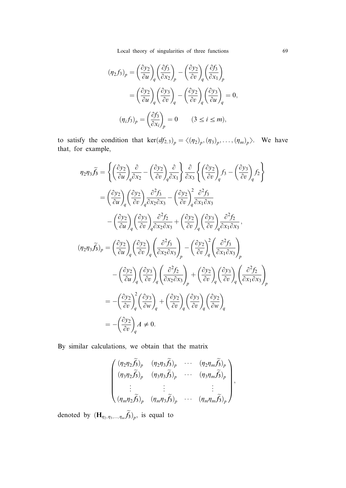Local theory of singularities of three functions 69

$$
(\eta_2 f_3)_p = \left(\frac{\partial y_2}{\partial u}\right)_q \left(\frac{\partial f_3}{\partial x_2}\right)_p - \left(\frac{\partial y_2}{\partial v}\right)_q \left(\frac{\partial f_3}{\partial x_1}\right)_p
$$
  

$$
= \left(\frac{\partial y_2}{\partial u}\right)_q \left(\frac{\partial y_3}{\partial v}\right)_q - \left(\frac{\partial y_2}{\partial v}\right)_q \left(\frac{\partial y_3}{\partial u}\right)_q = 0,
$$
  

$$
(\eta_i f_3)_p = \left(\frac{\partial f_3}{\partial x_i}\right)_p = 0 \qquad (3 \le i \le m),
$$

to satisfy the condition that  $\text{ker}(df_{2,3})_p = \langle (\eta_2)_p, (\eta_3)_p, \ldots, (\eta_m)_p \rangle$ . We have that, for example,

$$
\eta_{2}\eta_{3}\tilde{f}_{3} = \left\{ \left(\frac{\partial y_{2}}{\partial u}\right)_{q}\frac{\partial}{\partial x_{2}} - \left(\frac{\partial y_{2}}{\partial v}\right)_{q}\frac{\partial}{\partial x_{1}} \right\} \frac{\partial}{\partial x_{3}} \left\{ \left(\frac{\partial y_{2}}{\partial v}\right)_{q} f_{3} - \left(\frac{\partial y_{3}}{\partial v}\right)_{q} f_{2} \right\}
$$

$$
= \left(\frac{\partial y_{2}}{\partial u}\right)_{q} \left(\frac{\partial y_{2}}{\partial v}\right)_{q}\frac{\partial^{2} f_{3}}{\partial x_{2} \partial x_{3}} - \left(\frac{\partial y_{2}}{\partial v}\right)_{q}^{2}\frac{\partial^{2} f_{3}}{\partial x_{1} \partial x_{3}}
$$

$$
- \left(\frac{\partial y_{2}}{\partial u}\right)_{q} \left(\frac{\partial y_{3}}{\partial v}\right)_{q}\frac{\partial^{2} f_{2}}{\partial x_{2} \partial x_{3}} + \left(\frac{\partial y_{2}}{\partial v}\right)_{q} \left(\frac{\partial y_{3}}{\partial v}\right)_{q}\frac{\partial^{2} f_{2}}{\partial x_{1} \partial x_{3}},
$$

$$
(\eta_{2}\eta_{3}\tilde{f}_{3})_{p} = \left(\frac{\partial y_{2}}{\partial u}\right)_{q} \left(\frac{\partial y_{2}}{\partial v}\right)_{q} \left(\frac{\partial^{2} f_{3}}{\partial x_{2} \partial x_{3}}\right)_{p} - \left(\frac{\partial y_{2}}{\partial v}\right)_{q}^{2} \left(\frac{\partial^{2} f_{3}}{\partial x_{1} \partial x_{3}}\right)_{p}
$$

$$
- \left(\frac{\partial y_{2}}{\partial u}\right)_{q} \left(\frac{\partial y_{3}}{\partial v}\right)_{q} \left(\frac{\partial^{2} f_{2}}{\partial x_{2} \partial x_{3}}\right)_{p} + \left(\frac{\partial y_{2}}{\partial v}\right)_{q} \left(\frac{\partial y_{3}}{\partial v}\right)_{q} \left(\frac{\partial^{2} f_{2}}{\partial x_{1} \partial x_{3}}\right)_{p}
$$

$$
= - \left(\frac{\partial y_{2}}{\partial v}\right)_{q}^{2} \left(\frac{\partial y_{3}}{\partial w}\right)_{q} + \left(\frac{\partial y_{2}}{\partial v}\right)_{q}
$$

By similar calculations, we obtain that the matrix

$$
\begin{pmatrix}\n(\eta_2\eta_2\tilde{f}_3)_p & (\eta_2\eta_3\tilde{f}_3)_p & \cdots & (\eta_2\eta_m\tilde{f}_3)_p \\
(\eta_3\eta_2\tilde{f}_3)_p & (\eta_3\eta_3\tilde{f}_3)_p & \cdots & (\eta_3\eta_m\tilde{f}_3)_p \\
\vdots & \vdots & & \vdots \\
(\eta_m\eta_2\tilde{f}_3)_p & (\eta_m\eta_3\tilde{f}_3)_p & \cdots & (\eta_m\eta_m\tilde{f}_3)_p\n\end{pmatrix},
$$

denoted by  $(\mathbf{H}_{\eta_2,\eta_3,\dots,\eta_m}f_3)_p$ , is equal to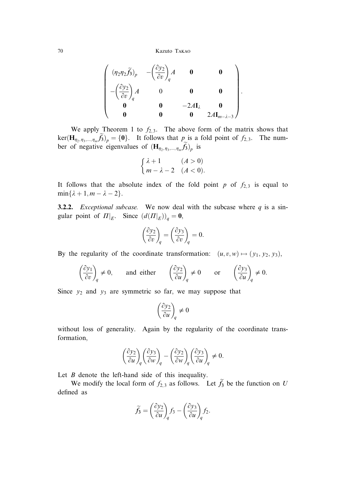$$
\left(\n\begin{array}{cccc}\n(\eta_2\eta_2\widetilde{f_3})_p & -\left(\frac{\partial y_2}{\partial v}\right)_q A & \mathbf{0} & \mathbf{0} \\
-\left(\frac{\partial y_2}{\partial v}\right)_q A & 0 & \mathbf{0} & \mathbf{0} \\
\mathbf{0} & \mathbf{0} & -2A\mathbf{I}_\lambda & \mathbf{0} \\
\mathbf{0} & \mathbf{0} & \mathbf{0} & 2A\mathbf{I}_{m-\lambda-3}\n\end{array}\n\right).
$$

We apply Theorem 1 to  $f_{2,3}$ . The above form of the matrix shows that ker $(\mathbf{H}_{\eta_2, \eta_3, \dots, \eta_m} f_3)$  = {0}. It follows that  $p$  is a fold point of  $f_{2,3}$ . The number of negative eigenvalues of  $(\mathbf{H}_{\eta_2, \eta_3, \dots, \eta_m} f_3)_p$  is

$$
\begin{cases} \lambda + 1 & (A > 0) \\ m - \lambda - 2 & (A < 0). \end{cases}
$$

It follows that the absolute index of the fold point  $p$  of  $f_{2,3}$  is equal to  $min\{\lambda + 1, m - \lambda - 2\}.$ 

**3.2.2.** *Exceptional subcase.* We now deal with the subcase where  $q$  is a singular point of  $\Pi|_E$ . Since  $(d(\Pi|_E))_q = \mathbf{0}$ ,

$$
\left(\frac{\partial y_2}{\partial v}\right)_q = \left(\frac{\partial y_3}{\partial v}\right)_q = 0.
$$

By the regularity of the coordinate transformation:  $(u, v, w) \mapsto (y_1, y_2, y_3)$ ,

$$
\left(\frac{\partial y_1}{\partial v}\right)_q \neq 0, \quad \text{and either} \quad \left(\frac{\partial y_2}{\partial u}\right)_q \neq 0 \quad \text{or} \quad \left(\frac{\partial y_3}{\partial u}\right)_q \neq 0.
$$

Since  $y_2$  and  $y_3$  are symmetric so far, we may suppose that

$$
\left(\frac{\partial y_2}{\partial u}\right)_q\neq 0
$$

without loss of generality. Again by the regularity of the coordinate transformation,

$$
\left(\frac{\partial y_2}{\partial u}\right)_q\left(\frac{\partial y_3}{\partial w}\right)_q-\left(\frac{\partial y_2}{\partial w}\right)_q\left(\frac{\partial y_3}{\partial u}\right)_q\neq 0.
$$

Let  $B$  denote the left-hand side of this inequality.

We modify the local form of  $f_{2,3}$  as follows. Let  $f_3$  be the function on U defined as

$$
\widetilde{f}_3 = \left(\frac{\partial y_2}{\partial u}\right)_q f_3 - \left(\frac{\partial y_3}{\partial u}\right)_q f_2.
$$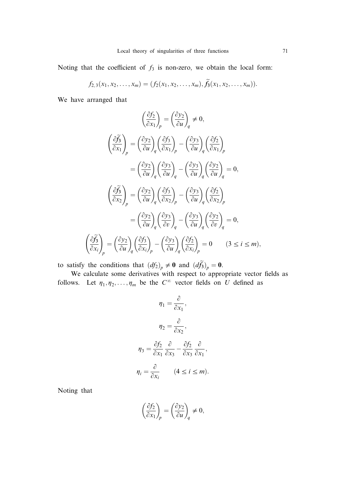Noting that the coefficient of  $f_3$  is non-zero, we obtain the local form:

$$
f_{2,3}(x_1,x_2,\ldots,x_m)=(f_2(x_1,x_2,\ldots,x_m),\widetilde{f}_3(x_1,x_2,\ldots,x_m)).
$$

We have arranged that

$$
\left(\frac{\partial f_2}{\partial x_1}\right)_p = \left(\frac{\partial y_2}{\partial u}\right)_q \neq 0,
$$
\n
$$
\left(\frac{\partial f_3}{\partial x_1}\right)_p = \left(\frac{\partial y_2}{\partial u}\right)_q \left(\frac{\partial f_3}{\partial x_1}\right)_p - \left(\frac{\partial y_3}{\partial u}\right)_q \left(\frac{\partial f_2}{\partial x_1}\right)_p
$$
\n
$$
= \left(\frac{\partial y_2}{\partial u}\right)_q \left(\frac{\partial y_3}{\partial u}\right)_q - \left(\frac{\partial y_3}{\partial u}\right)_q \left(\frac{\partial y_2}{\partial u}\right)_q = 0,
$$
\n
$$
\left(\frac{\partial f_3}{\partial x_2}\right)_p = \left(\frac{\partial y_2}{\partial u}\right)_q \left(\frac{\partial f_3}{\partial x_2}\right)_p - \left(\frac{\partial y_3}{\partial u}\right)_q \left(\frac{\partial f_2}{\partial x_2}\right)_p
$$
\n
$$
= \left(\frac{\partial y_2}{\partial u}\right)_q \left(\frac{\partial y_3}{\partial v}\right)_q - \left(\frac{\partial y_3}{\partial u}\right)_q \left(\frac{\partial y_2}{\partial v}\right)_q = 0,
$$
\n
$$
\left(\frac{\partial f_3}{\partial x_i}\right)_p = \left(\frac{\partial y_2}{\partial u}\right)_q \left(\frac{\partial f_3}{\partial x_i}\right)_p - \left(\frac{\partial y_3}{\partial u}\right)_q \left(\frac{\partial f_2}{\partial x_i}\right)_p = 0 \quad (3 \le i \le m),
$$

to satisfy the conditions that  $(df_2)_p \neq 0$  and  $(d\tilde{f}_3)_p = 0$ .

We calculate some derivatives with respect to appropriate vector fields as follows. Let  $\eta_1, \eta_2, \ldots, \eta_m$  be the  $C^{\infty}$  vector fields on U defined as

$$
\eta_1 = \frac{\partial}{\partial x_1},
$$

$$
\eta_2 = \frac{\partial}{\partial x_2},
$$

$$
\eta_3 = \frac{\partial f_2}{\partial x_1} \frac{\partial}{\partial x_3} - \frac{\partial f_2}{\partial x_3} \frac{\partial}{\partial x_1},
$$

$$
\eta_i = \frac{\partial}{\partial x_i} \qquad (4 \le i \le m).
$$

Noting that

$$
\left(\frac{\partial f_2}{\partial x_1}\right)_p = \left(\frac{\partial y_2}{\partial u}\right)_q \neq 0,
$$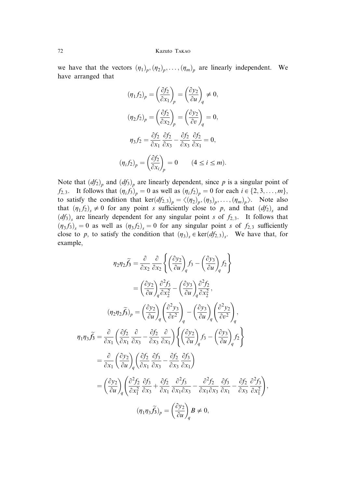we have that the vectors  $(\eta_1)_p, (\eta_2)_p, \ldots, (\eta_m)_p$  are linearly independent. We have arranged that

$$
(\eta_1 f_2)_p = \left(\frac{\partial f_2}{\partial x_1}\right)_p = \left(\frac{\partial y_2}{\partial u}\right)_q \neq 0,
$$
  

$$
(\eta_2 f_2)_p = \left(\frac{\partial f_2}{\partial x_2}\right)_p = \left(\frac{\partial y_2}{\partial v}\right)_q = 0,
$$
  

$$
\eta_3 f_2 = \frac{\partial f_2}{\partial x_1} \frac{\partial f_2}{\partial x_3} - \frac{\partial f_2}{\partial x_3} \frac{\partial f_2}{\partial x_1} = 0,
$$
  

$$
(\eta_i f_2)_p = \left(\frac{\partial f_2}{\partial x_i}\right)_p = 0 \qquad (4 \le i \le m).
$$

Note that  $(df_2)_p$  and  $(df_3)_p$  are linearly dependent, since p is a singular point of  $f_{2,3}$ . It follows that  $(\eta_i f_3)_{p} = 0$  as well as  $(\eta_i f_2)_{p} = 0$  for each  $i \in \{2, 3, \ldots, m\}$ , to satisfy the condition that ker $(df_{2,3})_p = \langle (\eta_2)_p, (\eta_3)_p, \ldots, (\eta_m)_p \rangle$ . Note also that  $(\eta_1 f_2)_s \neq 0$  for any point s sufficiently close to p, and that  $(d f_2)_s$  and  $(df_3)$ <sub>s</sub> are linearly dependent for any singular point s of  $f_{2,3}$ . It follows that  $(\eta_3 f_3)_s = 0$  as well as  $(\eta_3 f_2)_s = 0$  for any singular point s of  $f_{2,3}$  sufficiently close to p, to satisfy the condition that  $(\eta_3)_{s} \in \text{ker}(df_{2,3})_{s}$ . We have that, for example,

$$
\eta_{2}\eta_{2}\tilde{f}_{3} = \frac{\partial}{\partial x_{2}} \frac{\partial}{\partial x_{2}} \left\{ \left( \frac{\partial y_{2}}{\partial u} \right)_{q} f_{3} - \left( \frac{\partial y_{3}}{\partial u} \right)_{q} f_{2} \right\}
$$

$$
= \left( \frac{\partial y_{2}}{\partial u} \right)_{q} \frac{\partial^{2} f_{3}}{\partial x_{2}^{2}} - \left( \frac{\partial y_{3}}{\partial u} \right)_{q} \frac{\partial^{2} f_{2}}{\partial x_{2}^{2}},
$$

$$
(\eta_{2}\eta_{2}\tilde{f}_{3})_{p} = \left( \frac{\partial y_{2}}{\partial u} \right)_{q} \left( \frac{\partial^{2} y_{3}}{\partial v^{2}} \right)_{q} - \left( \frac{\partial y_{3}}{\partial u} \right)_{q} \left( \frac{\partial^{2} y_{2}}{\partial v^{2}} \right)_{q},
$$

$$
\eta_{1}\eta_{3}\tilde{f}_{3} = \frac{\partial}{\partial x_{1}} \left( \frac{\partial f_{2}}{\partial x_{1}} \frac{\partial}{\partial x_{3}} - \frac{\partial f_{2}}{\partial x_{3}} \frac{\partial}{\partial x_{1}} \right) \left\{ \left( \frac{\partial y_{2}}{\partial u} \right)_{q} f_{3} - \left( \frac{\partial y_{3}}{\partial u} \right)_{q} f_{2} \right\}
$$

$$
= \frac{\partial}{\partial x_{1}} \left( \frac{\partial y_{2}}{\partial u} \right)_{q} \left( \frac{\partial f_{2}}{\partial x_{1}} \frac{\partial f_{3}}{\partial x_{3}} - \frac{\partial f_{2}}{\partial x_{3}} \frac{\partial f_{3}}{\partial x_{1}} \right)
$$

$$
= \left( \frac{\partial y_{2}}{\partial u} \right)_{q} \left( \frac{\partial^{2} f_{2}}{\partial x_{1}^{2}} \frac{\partial f_{3}}{\partial x_{3}} + \frac{\partial f_{2}}{\partial x_{1}} \frac{\partial^{2} f_{3}}{\partial x_{1} \partial x_{3}} - \frac{\partial^{2} f_{2}}{\partial x_{1} \partial x_{3}} \frac{\partial f_{3}}{\partial x_{1}} - \frac{\partial f_{2}}{\partial x_{3}} \frac{\partial^{2} f_{3}}{\partial x_{1}^{2}} \right),
$$

$$
(\eta_{1}\eta
$$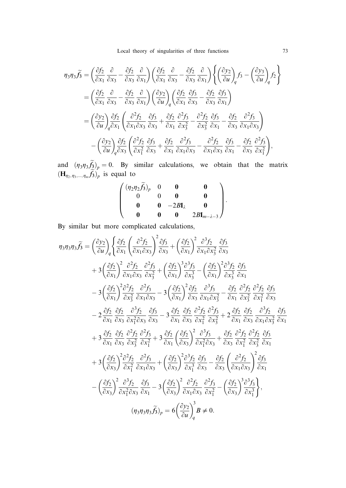Local theory of singularities of three functions 73

$$
\eta_{3}\eta_{3}\widetilde{f}_{3} = \left(\frac{\partial f_{2}}{\partial x_{1}}\frac{\partial}{\partial x_{3}} - \frac{\partial f_{2}}{\partial x_{3}}\frac{\partial}{\partial x_{1}}\right)\left(\frac{\partial f_{2}}{\partial x_{1}}\frac{\partial}{\partial x_{3}} - \frac{\partial f_{2}}{\partial x_{3}}\frac{\partial}{\partial x_{1}}\right)\left\{\left(\frac{\partial y_{2}}{\partial u}\right)_{q}f_{3} - \left(\frac{\partial y_{3}}{\partial u}\right)_{q}f_{2}\right\}
$$
\n
$$
= \left(\frac{\partial f_{2}}{\partial x_{1}}\frac{\partial}{\partial x_{3}} - \frac{\partial f_{2}}{\partial x_{3}}\frac{\partial}{\partial x_{1}}\right)\left(\frac{\partial y_{2}}{\partial u}\right)_{q}\left(\frac{\partial f_{2}}{\partial x_{1}}\frac{\partial f_{3}}{\partial x_{3}} - \frac{\partial f_{2}}{\partial x_{3}}\frac{\partial f_{3}}{\partial x_{1}}\right)
$$
\n
$$
= \left(\frac{\partial y_{2}}{\partial u}\right)_{q}\frac{\partial f_{2}}{\partial x_{1}}\left(\frac{\partial^{2} f_{2}}{\partial x_{1}\partial x_{3}}\frac{\partial f_{3}}{\partial x_{3}} + \frac{\partial f_{2}}{\partial x_{1}}\frac{\partial^{2} f_{3}}{\partial x_{3}^{2}} - \frac{\partial^{2} f_{2}}{\partial x_{3}^{2}}\frac{\partial f_{3}}{\partial x_{1}} - \frac{\partial f_{2}}{\partial x_{3}}\frac{\partial^{2} f_{3}}{\partial x_{1}\partial x_{3}}\right)
$$
\n
$$
- \left(\frac{\partial y_{2}}{\partial u}\right)_{q}\frac{\partial f_{2}}{\partial x_{3}}\left(\frac{\partial^{2} f_{2}}{\partial x_{3}^{2}}\frac{\partial f_{3}}{\partial x_{3}} + \frac{\partial f_{2}}{\partial x_{1}}\frac{\partial^{2} f_{3}}{\partial x_{1}\partial x_{3}} - \frac{\partial^{2} f_{2}}{\partial x_{1}\partial x_{3}}\frac{\partial f_{3}}{\partial x_{1}} - \frac{\partial f_{2}}{\partial x_{3}}\frac{\partial^{2} f_{3}}{\partial x_{1}^{2}}\right),
$$

and  $(\eta_3 \eta_3 f_3)_p = 0$ . By similar calculations, we obtain that the matrix  $(\mathbf{H}_{\eta_2,\eta_3,\dots,\eta_m}f_3)_p$  is equal to

| $(\eta_2\eta_2\tilde{f}_3)_p$ |                           |                                |  |
|-------------------------------|---------------------------|--------------------------------|--|
|                               |                           |                                |  |
|                               | $-2B\mathbf{I}_{\lambda}$ |                                |  |
|                               |                           | $2B\mathbf{I}_{m-\lambda-3}$ / |  |

By similar but more complicated calculations,

$$
\eta_{3}\eta_{3}\eta_{3}\tilde{f}_{3} = \left(\frac{\partial y_{2}}{\partial u}\right)_{q} \left\{\frac{\partial f_{2}}{\partial x_{1}}\left(\frac{\partial^{2} f_{2}}{\partial x_{1}\partial x_{3}}\right)^{2}\frac{\partial f_{3}}{\partial x_{3}} + \left(\frac{\partial f_{2}}{\partial x_{1}}\right)^{2}\frac{\partial^{3} f_{2}}{\partial x_{1}\partial x_{3}}\frac{\partial f_{3}}{\partial x_{3}}\right.\n+3\left(\frac{\partial f_{2}}{\partial x_{1}}\right)^{2}\frac{\partial^{2} f_{2}}{\partial x_{1}\partial x_{3}}\frac{\partial^{2} f_{3}}{\partial x_{3}^{2}} + \left(\frac{\partial f_{2}}{\partial x_{1}}\right)^{3}\frac{\partial^{3} f_{3}}{\partial x_{3}^{3}} - \left(\frac{\partial f_{2}}{\partial x_{1}}\right)^{2}\frac{\partial^{3} f_{2}}{\partial x_{3}^{3}}\frac{\partial f_{3}}{\partial x_{1}}\right.\n-3\left(\frac{\partial f_{2}}{\partial x_{1}}\right)^{2}\frac{\partial^{2} f_{2}}{\partial x_{3}^{2}}\frac{\partial^{2} f_{3}}{\partial x_{1}\partial x_{3}} - 3\left(\frac{\partial f_{2}}{\partial x_{1}}\right)^{2}\frac{\partial f_{2}}{\partial x_{3}}\frac{\partial^{3} f_{3}}{\partial x_{1}\partial x_{3}^{2}} - \frac{\partial f_{2}}{\partial x_{1}}\frac{\partial^{2} f_{2}}{\partial x_{3}^{2}}\frac{\partial f_{2}}{\partial x_{1}^{2}}\frac{\partial f_{3}}{\partial x_{3}^{2}}\frac{\partial f_{3}}{\partial x_{3}}\right.\n-2\frac{\partial f_{2}}{\partial x_{1}}\frac{\partial f_{2}}{\partial x_{3}}\frac{\partial^{3} f_{2}}{\partial x_{3}}\frac{\partial f_{3}}{\partial x_{3}} - 3\frac{\partial f_{2}}{\partial x_{1}}\frac{\partial f_{2}}{\partial x_{3}}\frac{\partial^{2} f_{2}}{\partial x_{3}^{2}}\frac{\partial^{2} f_{3}}{\partial x_{3}^{2}} + 2\frac{\partial f_{2}}{\partial x_{1}}\frac{\partial f_{2}}{\partial x_{3}}\frac{\partial^{3} f_{2}}{\partial x_{1}\partial x_{3}^{2}}\frac{\partial f_{3}}{\partial x_{1}}\frac{\partial f_{3}}
$$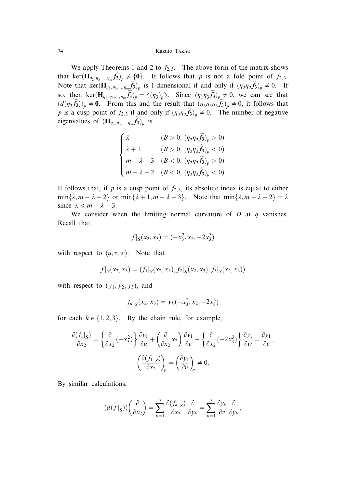We apply Theorems 1 and 2 to  $f_{2,3}$ . The above form of the matrix shows that ker $(\mathbf{H}_{\eta_2,\eta_3,\dots,\eta_m}\tilde{f}_3)_p \neq \{0\}$ . It follows that p is not a fold point of  $f_{2,3}$ . Note that ker $(\mathbf{H}_{\eta_2,\eta_3,\dots,\eta_m}\tilde{f}_3)_p$  is 1-dimensional if and only if  $(\eta_2\eta_2\tilde{f}_3)_p \neq 0$ . If so, then ker $(\mathbf{H}_{\eta_2,\eta_3,\dots,\eta_m}\tilde{f}_3)_p = \langle (\eta_3)_p \rangle$ . Since  $(\eta_1\eta_3\tilde{f}_3)_p \neq 0$ , we can see that  $(d(\eta_3 \tilde{f}_3))_p \neq 0$ . From this and the result that  $(\eta_3 \eta_3 \eta_3 \tilde{f}_3)_p \neq 0$ , it follows that p is a cusp point of  $f_{2,3}$  if and only if  $(\eta_2 \eta_2 \tilde{f}_3)_p \neq 0$ . The number of negative eigenvalues of  $(\mathbf{H}_{\eta_2, \eta_3, ..., \eta_m} f_3)_p$  is

$$
\begin{cases} \lambda & (B > 0, (\eta_2 \eta_2 \tilde{f}_3)_p > 0) \\ \lambda + 1 & (B > 0, (\eta_2 \eta_2 \tilde{f}_3)_p < 0) \\ m - \lambda - 3 & (B < 0, (\eta_2 \eta_2 \tilde{f}_3)_p > 0) \\ m - \lambda - 2 & (B < 0, (\eta_2 \eta_2 \tilde{f}_3)_p < 0). \end{cases}
$$

It follows that, if p is a cusp point of  $f_{2,3}$ , its absolute index is equal to either  $\min\{\lambda, m - \lambda - 2\}$  or  $\min\{\lambda + 1, m - \lambda - 3\}$ . Note that  $\min\{\lambda, m - \lambda - 2\} = \lambda$ since  $\lambda \leq m - \lambda - 3$ .

We consider when the limiting normal curvature of  $D$  at  $q$  vanishes. Recall that

$$
f|_{S}(x_2, x_3) = (-x_3^2, x_2, -2x_3^3)
$$

with respect to  $(u, v, w)$ . Note that

$$
f|_{S}(x_2, x_3) = (f_1|_{S}(x_2, x_3), f_2|_{S}(x_2, x_3), f_3|_{S}(x_2, x_3))
$$

with respect to  $(y_1, y_2, y_3)$ , and

$$
f_k|_S(x_2, x_3) = y_k(-x_3^2, x_2, -2x_3^3)
$$

for each  $k \in \{1, 2, 3\}$ . By the chain rule, for example,

$$
\frac{\partial (f_1|_S)}{\partial x_2} = \left\{ \frac{\partial}{\partial x_2} (-x_3^2) \right\} \frac{\partial y_1}{\partial u} + \left( \frac{\partial}{\partial x_2} x_2 \right) \frac{\partial y_1}{\partial v} + \left\{ \frac{\partial}{\partial x_2} (-2x_3^3) \right\} \frac{\partial y_1}{\partial w} = \frac{\partial y_1}{\partial v},
$$

$$
\left( \frac{\partial (f_1|_S)}{\partial x_2} \right)_p = \left( \frac{\partial y_1}{\partial v} \right)_q \neq 0.
$$

By similar calculations,

$$
(d(f|_S))\left(\frac{\partial}{\partial x_2}\right) = \sum_{k=1}^3 \frac{\partial (f_k|_S)}{\partial x_2} \frac{\partial}{\partial y_k} = \sum_{k=1}^3 \frac{\partial y_k}{\partial v} \frac{\partial}{\partial y_k},
$$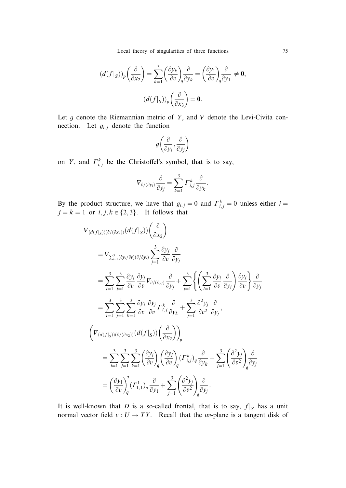Local theory of singularities of three functions 75

$$
(d(f|_S))_p \left(\frac{\partial}{\partial x_2}\right) = \sum_{k=1}^3 \left(\frac{\partial y_k}{\partial v}\right)_q \frac{\partial}{\partial y_k} = \left(\frac{\partial y_1}{\partial v}\right)_q \frac{\partial}{\partial y_1} \neq \mathbf{0},
$$

$$
(d(f|_S))_p \left(\frac{\partial}{\partial x_3}\right) = \mathbf{0}.
$$

Let g denote the Riemannian metric of Y, and  $\nabla$  denote the Levi-Civita connection. Let  $g_{i,j}$  denote the function

$$
g\left(\frac{\partial}{\partial y_i}, \frac{\partial}{\partial y_j}\right)
$$

on Y, and  $\Gamma_{i,j}^k$  be the Christoffel's symbol, that is to say,

$$
\nabla_{\partial/(\partial y_i)}\frac{\partial}{\partial y_j}=\sum_{k=1}^3\varGamma_{i,j}^k\frac{\partial}{\partial y_k}.
$$

By the product structure, we have that  $g_{i,j} = 0$  and  $\Gamma_{i,j}^k = 0$  unless either  $i =$  $j = k = 1$  or  $i, j, k \in \{2, 3\}$ . It follows that

$$
\begin{split}\n\nabla_{(d(f|_{S}))(\partial/(\partial x_{2}))}(d(f|_{S}))\left(\frac{\partial}{\partial x_{2}}\right) \\
&= \nabla_{\sum_{i=1}^{3}(\partial y_{i}/\partial v)(\partial/\partial y_{i})} \sum_{j=1}^{3} \frac{\partial y_{j}}{\partial v} \frac{\partial}{\partial y_{j}} \\
&= \sum_{i=1}^{3} \sum_{j=1}^{3} \frac{\partial y_{i}}{\partial v} \frac{\partial y_{j}}{\partial v} \nabla_{\partial/(\partial y_{i})} \frac{\partial}{\partial y_{j}} + \sum_{j=1}^{3} \left\{ \left( \sum_{i=1}^{3} \frac{\partial y_{i}}{\partial v} \frac{\partial}{\partial y_{i}} \right) \frac{\partial y_{j}}{\partial v} \right\} \frac{\partial}{\partial y_{j}} \\
&= \sum_{i=1}^{3} \sum_{j=1}^{3} \sum_{k=1}^{3} \frac{\partial y_{i}}{\partial v} \frac{\partial y_{j}}{\partial v} \Gamma_{i,j}^{k} \frac{\partial}{\partial y_{k}} + \sum_{j=1}^{3} \frac{\partial^{2} y_{j}}{\partial v^{2}} \frac{\partial}{\partial y_{j}}, \\
\left( \nabla_{(d(f|_{S}))(\partial/(\partial x_{2}))}(d(f|_{S}))\left(\frac{\partial}{\partial x_{2}}\right) \right)_{p} \\
&= \sum_{i=1}^{3} \sum_{j=1}^{3} \sum_{k=1}^{3} \left( \frac{\partial y_{i}}{\partial v} \right)_{q} \left( \frac{\partial y_{j}}{\partial v} \right)_{q} \left( \Gamma_{i,j}^{k} \right)_{q} \frac{\partial}{\partial y_{k}} + \sum_{j=1}^{3} \left( \frac{\partial^{2} y_{j}}{\partial v^{2}} \right)_{q} \frac{\partial}{\partial y_{j}} \\
&= \left( \frac{\partial y_{1}}{\partial v} \right)_{q}^{2} \left( \Gamma_{1,1}^{1} \right)_{q} \frac{\partial}{\partial y_{1}} + \sum_{j=1}^{3} \left( \frac{\partial^{2} y_{j}}{\partial v^{2}} \right)_{q} \frac{\partial}{\partial y_{j}}.\n\end{split}
$$

It is well-known that D is a so-called frontal, that is to say,  $f|_S$  has a unit normal vector field  $v : U \to TY$ . Recall that the uv-plane is a tangent disk of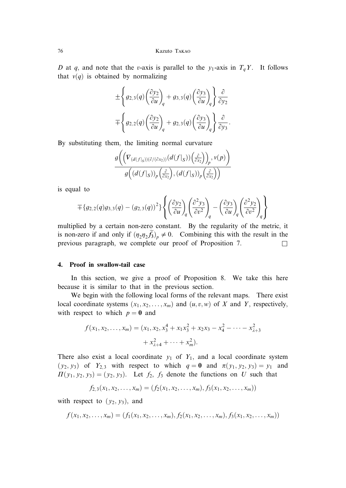D at q, and note that the v-axis is parallel to the  $y_1$ -axis in  $T_qY$ . It follows that  $v(q)$  is obtained by normalizing

$$
\begin{split} &\pm\Bigg\{g_{2,3}(q)\bigg(\frac{\partial y_2}{\partial u}\bigg)_q+g_{3,3}(q)\bigg(\frac{\partial y_3}{\partial u}\bigg)_q\Bigg\}\frac{\partial}{\partial y_2}\\ &\mp\Bigg\{g_{2,2}(q)\bigg(\frac{\partial y_2}{\partial u}\bigg)_q+g_{2,3}(q)\bigg(\frac{\partial y_3}{\partial u}\bigg)_q\Bigg\}\frac{\partial}{\partial y_3}. \end{split}
$$

By substituting them, the limiting normal curvature

$$
\frac{g\bigg(\Big(\nabla_{(d(f|_S))(\partial/(\partial x_2))}(d(f|_S))\Big(\frac{\partial}{\partial x_2}\Big)\Big)_p, v(p)\bigg)}{g\Big((d(f|_S))_p\Big(\frac{\partial}{\partial x_2}\Big),(d(f|_S))_p\Big(\frac{\partial}{\partial x_2}\Big)\Big)}
$$

is equal to

$$
\mp \{g_{2,2}(q)g_{3,3}(q) - (g_{2,3}(q))^2\} \left\{ \left(\frac{\partial y_2}{\partial u}\right)_q \left(\frac{\partial^2 y_3}{\partial v^2}\right)_q - \left(\frac{\partial y_3}{\partial u}\right)_q \left(\frac{\partial^2 y_2}{\partial v^2}\right)_q \right\}
$$

multiplied by a certain non-zero constant. By the regularity of the metric, it is non-zero if and only if  $(\eta_2\eta_2\tilde{f}_3)_p \neq 0$ . Combining this with the result in the previous paragraph, we complete our proof of Proposition 7.  $\Box$ 

### 4. Proof in swallow-tail case

In this section, we give a proof of Proposition 8. We take this here because it is similar to that in the previous section.

We begin with the following local forms of the relevant maps. There exist local coordinate systems  $(x_1, x_2, \ldots, x_m)$  and  $(u, v, w)$  of X and Y, respectively, with respect to which  $p = 0$  and

$$
f(x_1, x_2, \dots, x_m) = (x_1, x_2, x_3^4 + x_1 x_3^2 + x_2 x_3 - x_4^2 - \dots - x_{\lambda+3}^2 + x_{\lambda+4}^2 + \dots + x_m^2).
$$

There also exist a local coordinate  $y_1$  of  $Y_1$ , and a local coordinate system  $(y_2, y_3)$  of  $Y_{2,3}$  with respect to which  $q = 0$  and  $\pi(y_1, y_2, y_3) = y_1$  and  $\Pi(y_1, y_2, y_3) = (y_2, y_3)$ . Let  $f_2$ ,  $f_3$  denote the functions on U such that

$$
f_{2,3}(x_1,x_2,\ldots,x_m)=(f_2(x_1,x_2,\ldots,x_m),f_3(x_1,x_2,\ldots,x_m))
$$

with respect to  $(y_2, y_3)$ , and

$$
f(x_1, x_2, \ldots, x_m) = (f_1(x_1, x_2, \ldots, x_m), f_2(x_1, x_2, \ldots, x_m), f_3(x_1, x_2, \ldots, x_m))
$$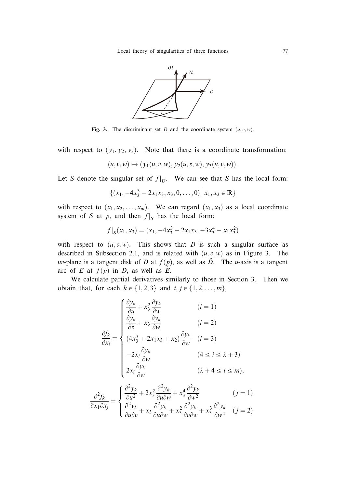

Fig. 3. The discriminant set D and the coordinate system  $(u, v, w)$ .

with respect to  $(y_1, y_2, y_3)$ . Note that there is a coordinate transformation:

$$
(u, v, w) \mapsto (y_1(u, v, w), y_2(u, v, w), y_3(u, v, w)).
$$

Let S denote the singular set of  $f|_U$ . We can see that S has the local form:

$$
\{(x_1, -4x_3^3 - 2x_1x_3, x_3, 0, \dots, 0) | x_1, x_3 \in \mathbb{R}\}\
$$

with respect to  $(x_1, x_2, \ldots, x_m)$ . We can regard  $(x_1, x_3)$  as a local coordinate system of S at p, and then  $f|_S$  has the local form:

$$
f|_S(x_1, x_3) = (x_1, -4x_3^3 - 2x_1x_3, -3x_3^4 - x_1x_3^2)
$$

with respect to  $(u, v, w)$ . This shows that D is such a singular surface as described in Subsection 2.1, and is related with  $(u, v, w)$  as in Figure 3. The uv-plane is a tangent disk of D at  $f(p)$ , as well as  $\tilde{D}$ . The u-axis is a tangent arc of E at  $f(p)$  in D, as well as  $\tilde{E}$ .

We calculate partial derivatives similarly to those in Section 3. Then we obtain that, for each  $k \in \{1, 2, 3\}$  and  $i, j \in \{1, 2, ..., m\}$ ,

8

$$
\frac{\partial f_k}{\partial x_i} = \begin{cases}\n\frac{\partial y_k}{\partial u} + x_3^2 \frac{\partial y_k}{\partial w} & (i = 1) \\
\frac{\partial y_k}{\partial v} + x_3 \frac{\partial y_k}{\partial w} & (i = 2) \\
(4x_3^3 + 2x_1x_3 + x_2) \frac{\partial y_k}{\partial w} & (i = 3) \\
-2x_i \frac{\partial y_k}{\partial w} & (4 \le i \le \lambda + 3) \\
2x_i \frac{\partial y_k}{\partial w} & (\lambda + 4 \le i \le m),\n\end{cases}
$$

$$
\frac{\partial^2 f_k}{\partial x_1 \partial x_j} = \begin{cases} \frac{\partial^2 y_k}{\partial u^2} + 2x_3^2 \frac{\partial^2 y_k}{\partial u \partial w} + x_3^4 \frac{\partial^2 y_k}{\partial w^2} & (j = 1) \\ \frac{\partial^2 y_k}{\partial u \partial v} + x_3 \frac{\partial^2 y_k}{\partial u \partial w} + x_3^2 \frac{\partial^2 y_k}{\partial v \partial w} + x_3^3 \frac{\partial^2 y_k}{\partial w^2} & (j = 2) \end{cases}
$$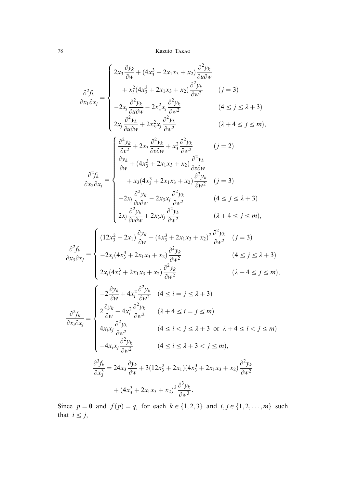$$
\frac{\partial^2 f_k}{\partial x_1 \partial x_j} = \begin{cases}\n2x_3 \frac{\partial y_k}{\partial w} + (4x_3^3 + 2x_1x_3 + x_2) \frac{\partial^2 y_k}{\partial u \partial w} \\
+ x_3^2 (4x_3^3 + 2x_1x_3 + x_2) \frac{\partial^2 y_k}{\partial w^2} \\
- 2x_j \frac{\partial^2 y_k}{\partial u \partial w} - 2x_3^2 x_j \frac{\partial^2 y_k}{\partial w^2} \\
2x_j \frac{\partial^2 y_k}{\partial u \partial w} + 2x_3^2 x_j \frac{\partial^2 y_k}{\partial w^2} \\
\left(\frac{\partial^2 y_k}{\partial u \partial w} + 2x_3^2 x_j \frac{\partial^2 y_k}{\partial w^2}\right) & (\lambda + 4 \le j \le m), \\
\left(\frac{\partial^2 y_k}{\partial u \partial w} + 2x_3^2 x_j \frac{\partial^2 y_k}{\partial w^2}\right) & (\lambda + 2 \le j \le m)\n\end{cases}
$$

$$
\frac{\partial^2 y_k}{\partial v^2} + 2x_3 \frac{\partial^2 y_k}{\partial v \partial w} + x_3^2 \frac{\partial^2 y_k}{\partial w^2} \qquad (j = 2)
$$
\n
$$
\frac{\partial^2 y_k}{\partial w} + (4x_3^3 + 2x_1x_3 + x_2) \frac{\partial^2 y_k}{\partial v \partial w}
$$
\n
$$
+ x_3 (4x_3^3 + 2x_1x_3 + x_2) \frac{\partial^2 y_k}{\partial w^2} \qquad (j = 3)
$$
\n
$$
- 2x_j \frac{\partial^2 y_k}{\partial v \partial w} - 2x_3 x_j \frac{\partial^2 y_k}{\partial w^2} \qquad (4 \le j \le \lambda + 3)
$$
\n
$$
2x_j \frac{\partial^2 y_k}{\partial v \partial w} + 2x_3 x_j \frac{\partial^2 y_k}{\partial w^2} \qquad (\lambda + 4 \le j \le m),
$$

$$
\frac{\partial^2 f_k}{\partial x_3 \partial x_j} = \begin{cases}\n(12x_3^2 + 2x_1) \frac{\partial y_k}{\partial w} + (4x_3^3 + 2x_1x_3 + x_2)^2 \frac{\partial^2 y_k}{\partial w^2} & (j = 3) \\
-2x_j(4x_3^3 + 2x_1x_3 + x_2) \frac{\partial^2 y_k}{\partial w^2} & (4 \le j \le \lambda + 3) \\
2x_j(4x_3^3 + 2x_1x_3 + x_2) \frac{\partial^2 y_k}{\partial w^2} & (\lambda + 4 \le j \le m),\n\end{cases}
$$

$$
\frac{\partial^2 f_k}{\partial x_i \partial x_j} = \begin{cases}\n-2\frac{\partial y_k}{\partial w} + 4x_i^2 \frac{\partial^2 y_k}{\partial w^2} & (4 \le i = j \le \lambda + 3) \\
2\frac{\partial y_k}{\partial w} + 4x_i^2 \frac{\partial^2 y_k}{\partial w^2} & (\lambda + 4 \le i = j \le m) \\
4x_i x_j \frac{\partial^2 y_k}{\partial w^2} & (4 \le i < j \le \lambda + 3 \text{ or } \lambda + 4 \le i < j \le m) \\
-4x_i x_j \frac{\partial^2 y_k}{\partial w^2} & (4 \le i \le \lambda + 3 < j \le m), \\
\frac{\partial^3 f_k}{\partial x_3^3} = 24x_3 \frac{\partial y_k}{\partial w} + 3(12x_3^2 + 2x_1)(4x_3^3 + 2x_1x_3 + x_2) \frac{\partial^2 y_k}{\partial w^2} \\
+ (4x_3^3 + 2x_1x_3 + x_2)^3 \frac{\partial^3 y_k}{\partial w^3}.\n\end{cases}
$$

Since  $p = 0$  and  $f(p) = q$ , for each  $k \in \{1, 2, 3\}$  and  $i, j \in \{1, 2, ..., m\}$  such that  $i \leq j$ ,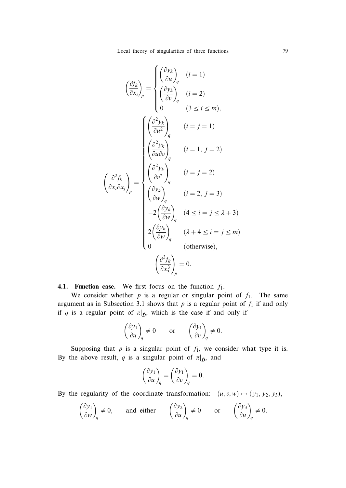Local theory of singularities of three functions 79

$$
\left(\frac{\partial f_k}{\partial x_i}\right)_p = \begin{cases}\n\left(\frac{\partial y_k}{\partial u}\right)_q & (i = 1) \\
\left(\frac{\partial y_k}{\partial v}\right)_q & (i = 2) \\
0 & (3 \le i \le m),\n\end{cases}
$$
\n
$$
\left(\frac{\partial^2 y_k}{\partial u^2}\right)_q & (i = j = 1)
$$
\n
$$
\left(\frac{\partial^2 y_k}{\partial u \partial v}\right)_q & (i = 1, j = 2)
$$
\n
$$
\left(\frac{\partial^2 f_k}{\partial x_i \partial x_j}\right)_p = \begin{cases}\n\left(\frac{\partial^2 y_k}{\partial v^2}\right)_q & (i = j = 2) \\
\left(\frac{\partial y_k}{\partial v}\right)_q & (i = 2, j = 3) \\
-2\left(\frac{\partial y_k}{\partial w}\right)_q & (4 \le i = j \le \lambda + 3) \\
2\left(\frac{\partial y_k}{\partial w}\right)_q & (\lambda + 4 \le i = j \le m) \\
0 & \text{(otherwise)},\n\end{cases}
$$
\n
$$
\left(\frac{\partial^3 f_k}{\partial x_3^3}\right)_p = 0.
$$

4.1. Function case. We first focus on the function  $f_1$ .

We consider whether  $p$  is a regular or singular point of  $f_1$ . The same argument as in Subsection 3.1 shows that  $p$  is a regular point of  $f_1$  if and only if q is a regular point of  $\pi|_{\tilde{D}}$ , which is the case if and only if

$$
\left(\frac{\partial y_1}{\partial u}\right)_q \neq 0 \quad \text{or} \quad \left(\frac{\partial y_1}{\partial v}\right)_q \neq 0.
$$

Supposing that  $p$  is a singular point of  $f_1$ , we consider what type it is. By the above result, q is a singular point of  $\pi|_{\tilde{D}}$ , and

$$
\left(\frac{\partial y_1}{\partial u}\right)_q = \left(\frac{\partial y_1}{\partial v}\right)_q = 0.
$$

By the regularity of the coordinate transformation:  $(u, v, w) \mapsto (y_1, y_2, y_3)$ ,

$$
\left(\frac{\partial y_1}{\partial w}\right)_q \neq 0
$$
, and either  $\left(\frac{\partial y_2}{\partial u}\right)_q \neq 0$  or  $\left(\frac{\partial y_3}{\partial u}\right)_q \neq 0$ .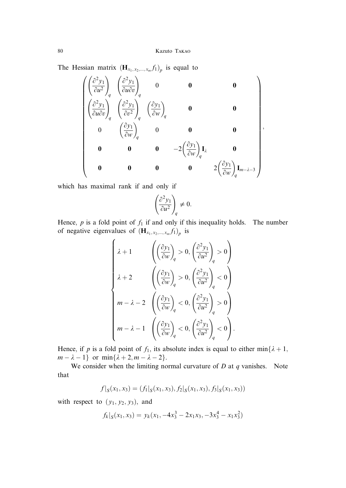The Hessian matrix  $(\mathbf{H}_{x_1, x_2, \dots, x_m} f_1)_p$  is equal to

$$
\begin{pmatrix}\n\left(\frac{\partial^2 y_1}{\partial u^2}\right)_q & \left(\frac{\partial^2 y_1}{\partial u \partial v}\right)_q & 0 & 0 & 0 \\
\left(\frac{\partial^2 y_1}{\partial u \partial v}\right)_q & \left(\frac{\partial^2 y_1}{\partial v^2}\right)_q & \left(\frac{\partial y_1}{\partial w}\right)_q & 0 & 0 \\
0 & \left(\frac{\partial y_1}{\partial w}\right)_q & 0 & 0 & 0 \\
0 & 0 & 0 & -2\left(\frac{\partial y_1}{\partial w}\right)_q \mathbf{I}_{\lambda} & 0 \\
0 & 0 & 0 & 0 & 2\left(\frac{\partial y_1}{\partial w}\right)_q \mathbf{I}_{m-\lambda-3}\n\end{pmatrix},
$$

which has maximal rank if and only if

$$
\left(\frac{\partial^2 y_1}{\partial u^2}\right)_q \neq 0.
$$

Hence,  $p$  is a fold point of  $f_1$  if and only if this inequality holds. The number of negative eigenvalues of  $(\mathbf{H}_{x_1, x_2, ..., x_m} f_1)_p$  is

$$
\begin{cases} \lambda+1 & \left(\left(\frac{\partial y_1}{\partial w}\right)_q > 0, \left(\frac{\partial^2 y_1}{\partial u^2}\right)_q > 0\right) \\ \lambda+2 & \left(\left(\frac{\partial y_1}{\partial w}\right)_q > 0, \left(\frac{\partial^2 y_1}{\partial u^2}\right)_q < 0\right) \\ m-\lambda-2 & \left(\left(\frac{\partial y_1}{\partial w}\right)_q < 0, \left(\frac{\partial^2 y_1}{\partial u^2}\right)_q > 0\right) \\ m-\lambda-1 & \left(\left(\frac{\partial y_1}{\partial w}\right)_q < 0, \left(\frac{\partial^2 y_1}{\partial u^2}\right)_q < 0\right). \end{cases}
$$

Hence, if p is a fold point of  $f_1$ , its absolute index is equal to either min $\{\lambda + 1,$  $m - \lambda - 1$ } or min{ $\lambda + 2, m - \lambda - 2$ }.

We consider when the limiting normal curvature of  $D$  at  $q$  vanishes. Note that

$$
f|_{S}(x_1,x_3)=(f_1|_{S}(x_1,x_3),f_2|_{S}(x_1,x_3),f_3|_{S}(x_1,x_3))
$$

with respect to  $(y_1, y_2, y_3)$ , and

$$
f_k|_{S}(x_1, x_3) = y_k(x_1, -4x_3^3 - 2x_1x_3, -3x_3^4 - x_1x_3^2)
$$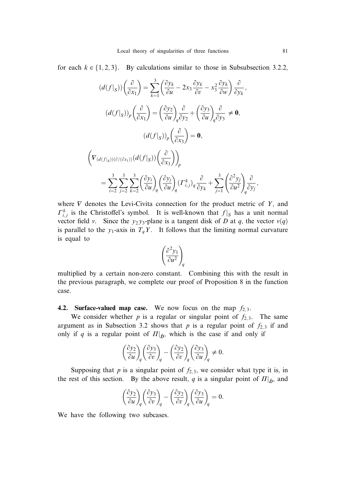for each  $k \in \{1, 2, 3\}$ . By calculations similar to those in Subsubsection 3.2.2,

$$
(d(f|_S))\left(\frac{\partial}{\partial x_1}\right) = \sum_{k=1}^3 \left(\frac{\partial y_k}{\partial u} - 2x_3 \frac{\partial y_k}{\partial v} - x_3^2 \frac{\partial y_k}{\partial w}\right) \frac{\partial}{\partial y_k},
$$
  

$$
(d(f|_S))_p \left(\frac{\partial}{\partial x_1}\right) = \left(\frac{\partial y_2}{\partial u}\right)_q \frac{\partial}{\partial y_2} + \left(\frac{\partial y_3}{\partial u}\right)_q \frac{\partial}{\partial y_3} \neq \mathbf{0},
$$
  

$$
(d(f|_S))_p \left(\frac{\partial}{\partial x_3}\right) = \mathbf{0},
$$
  

$$
\left(\nabla_{(d(f|_S))(\partial/( \partial x_1))}(d(f|_S))\left(\frac{\partial}{\partial x_1}\right)\right)_p
$$
  

$$
= \sum_{i=2}^3 \sum_{j=2}^3 \sum_{k=2}^3 \left(\frac{\partial y_i}{\partial u}\right)_q \left(\frac{\partial y_j}{\partial u}\right)_q \left(\Gamma_{i,j}^k\right)_q \frac{\partial}{\partial y_k} + \sum_{j=1}^3 \left(\frac{\partial^2 y_j}{\partial u^2}\right)_q \frac{\partial}{\partial y_j}
$$

where  $\nabla$  denotes the Levi-Civita connection for the product metric of Y, and  $\Gamma_{i,j}^k$  is the Christoffel's symbol. It is well-known that  $f|_S$  has a unit normal vector field v. Since the  $y_2 y_3$ -plane is a tangent disk of D at q, the vector  $v(q)$ is parallel to the  $y_1$ -axis in  $T_qY$ . It follows that the limiting normal curvature is equal to

$$
\left(\frac{\partial^2 y_1}{\partial u^2}\right)_q
$$

multiplied by a certain non-zero constant. Combining this with the result in the previous paragraph, we complete our proof of Proposition 8 in the function case.

4.2. Surface-valued map case. We now focus on the map  $f_{2,3}$ .

We consider whether p is a regular or singular point of  $f_{2,3}$ . The same argument as in Subsection 3.2 shows that  $p$  is a regular point of  $f_{2,3}$  if and only if q is a regular point of  $\Pi|_{\tilde{D}}$ , which is the case if and only if

$$
\left(\frac{\partial y_2}{\partial u}\right)_q \left(\frac{\partial y_3}{\partial v}\right)_q - \left(\frac{\partial y_2}{\partial v}\right)_q \left(\frac{\partial y_3}{\partial u}\right)_q \neq 0.
$$

Supposing that  $p$  is a singular point of  $f_{2,3}$ , we consider what type it is, in the rest of this section. By the above result, q is a singular point of  $\Pi|_{\tilde{D}}$ , and

$$
\left(\frac{\partial y_2}{\partial u}\right)_q \left(\frac{\partial y_3}{\partial v}\right)_q - \left(\frac{\partial y_2}{\partial v}\right)_q \left(\frac{\partial y_3}{\partial u}\right)_q = 0.
$$

We have the following two subcases.

;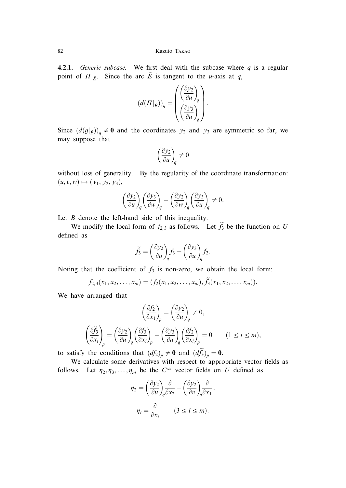**4.2.1.** Generic subcase. We first deal with the subcase where  $q$  is a regular point of  $\Pi|_{\tilde{E}}$ . Since the arc  $\tilde{E}$  is tangent to the *u*-axis at *q*,

$$
\left(d(\boldsymbol{\varPi}|_{\tilde{E}})\right)_q = \begin{pmatrix} \left(\frac{\partial y_2}{\partial \boldsymbol{u}}\right)_q \\ \left(\frac{\partial y_3}{\partial \boldsymbol{u}}\right)_q \end{pmatrix}.
$$

Since  $(d(g|\vec{E}))_q \neq 0$  and the coordinates  $y_2$  and  $y_3$  are symmetric so far, we may suppose that

$$
\left(\frac{\partial y_2}{\partial u}\right)_q\neq 0
$$

without loss of generality. By the regularity of the coordinate transformation:  $(u, v, w) \mapsto (y_1, y_2, y_3),$ 

$$
\left(\frac{\partial y_2}{\partial u}\right)_q \left(\frac{\partial y_3}{\partial w}\right)_q - \left(\frac{\partial y_2}{\partial w}\right)_q \left(\frac{\partial y_3}{\partial u}\right)_q \neq 0.
$$

Let  $B$  denote the left-hand side of this inequality.

We modify the local form of  $f_{2,3}$  as follows. Let  $\tilde{f}_3$  be the function on U defined as

$$
\widetilde{f}_3 = \left(\frac{\partial y_2}{\partial u}\right)_q f_3 - \left(\frac{\partial y_3}{\partial u}\right)_q f_2.
$$

Noting that the coefficient of  $f_3$  is non-zero, we obtain the local form:

$$
f_{2,3}(x_1,x_2,\ldots,x_m)=(f_2(x_1,x_2,\ldots,x_m),\tilde{f}_3(x_1,x_2,\ldots,x_m)).
$$

We have arranged that

$$
\left(\frac{\partial f_2}{\partial x_1}\right)_p = \left(\frac{\partial y_2}{\partial u}\right)_q \neq 0,
$$
\n
$$
\left(\frac{\partial f_3}{\partial x_i}\right)_p = \left(\frac{\partial y_2}{\partial u}\right)_q \left(\frac{\partial f_3}{\partial x_i}\right)_p - \left(\frac{\partial y_3}{\partial u}\right)_q \left(\frac{\partial f_2}{\partial x_i}\right)_p = 0 \qquad (1 \le i \le m),
$$

to satisfy the conditions that  $(df_2)_p \neq 0$  and  $(df_3)_p = 0$ .

We calculate some derivatives with respect to appropriate vector fields as follows. Let  $\eta_2, \eta_3, \ldots, \eta_m$  be the  $C^{\infty}$  vector fields on U defined as

$$
\eta_2 = \left(\frac{\partial y_2}{\partial u}\right)_q \frac{\partial}{\partial x_2} - \left(\frac{\partial y_2}{\partial v}\right)_q \frac{\partial}{\partial x_1},
$$

$$
\eta_i = \frac{\partial}{\partial x_i} \qquad (3 \le i \le m).
$$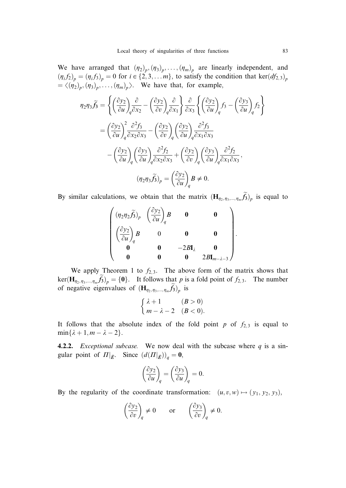We have arranged that  $(\eta_2)_p, (\eta_3)_p, \ldots, (\eta_m)_p$  are linearly independent, and  $(\eta_i f_2)_p = (\eta_i f_3)_p = 0$  for  $i \in \{2, 3, \ldots, m\}$ , to satisfy the condition that ker $(df_{2,3})_p$  $= \langle (\eta_2)_p, (\eta_3)_p, \ldots, (\eta_m)_p \rangle$ . We have that, for example,

$$
\eta_2 \eta_3 \widetilde{f}_3 = \left\{ \left( \frac{\partial y_2}{\partial u} \right)_q \frac{\partial}{\partial x_2} - \left( \frac{\partial y_2}{\partial v} \right)_q \frac{\partial}{\partial x_1} \right\} \frac{\partial}{\partial x_3} \left\{ \left( \frac{\partial y_2}{\partial u} \right)_q f_3 - \left( \frac{\partial y_3}{\partial u} \right)_q f_2 \right\}
$$
  

$$
= \left( \frac{\partial y_2}{\partial u} \right)_q^2 \frac{\partial^2 f_3}{\partial x_2 \partial x_3} - \left( \frac{\partial y_2}{\partial v} \right)_q \left( \frac{\partial y_2}{\partial u} \right)_q \frac{\partial^2 f_3}{\partial x_1 \partial x_3}
$$
  

$$
- \left( \frac{\partial y_2}{\partial u} \right)_q \left( \frac{\partial y_3}{\partial u} \right)_q \frac{\partial^2 f_2}{\partial x_2 \partial x_3} + \left( \frac{\partial y_2}{\partial v} \right)_q \left( \frac{\partial y_3}{\partial u} \right)_q \frac{\partial^2 f_2}{\partial x_1 \partial x_3},
$$
  

$$
(\eta_2 \eta_3 \widetilde{f}_3)_p = \left( \frac{\partial y_2}{\partial u} \right)_q B \neq 0.
$$

By similar calculations, we obtain that the matrix  $(\mathbf{H}_{\eta_2,\eta_3,\dots,\eta_m}f_3)_{p}$  is equal to

$$
\begin{pmatrix}\n(\eta_2\eta_2\widetilde{f}_3)_p & \left(\frac{\partial y_2}{\partial u}\right)_q & \mathbf{0} & \mathbf{0} \\
(\frac{\partial y_2}{\partial u}\right)_q & 0 & \mathbf{0} & \mathbf{0} \\
\mathbf{0} & \mathbf{0} & -2B\mathbf{I}_\lambda & \mathbf{0} \\
\mathbf{0} & \mathbf{0} & \mathbf{0} & 2B\mathbf{I}_{m-\lambda-3}\n\end{pmatrix}.
$$

We apply Theorem 1 to  $f_{2,3}$ . The above form of the matrix shows that  $\ker(\mathbf{H}_{\eta_2, \eta_3, \dots, \eta_m} f_3)$  = {0}. It follows that p is a fold point of  $f_{2,3}$ . The number of negative eigenvalues of  $(\mathbf{H}_{\eta_2, \eta_3, ..., \eta_m} f_3)$  is

$$
\begin{cases} \lambda + 1 & (B > 0) \\ m - \lambda - 2 & (B < 0). \end{cases}
$$

It follows that the absolute index of the fold point p of  $f_{2,3}$  is equal to  $\min\{\lambda + 1, m - \lambda - 2\}.$ 

**4.2.2.** *Exceptional subcase.* We now deal with the subcase where  $q$  is a singular point of  $\Pi|_{\tilde{E}}$ . Since  $(d(\Pi|_{\tilde{E}}))_q = \mathbf{0}$ ,

$$
\left(\frac{\partial y_2}{\partial u}\right)_q = \left(\frac{\partial y_3}{\partial u}\right)_q = 0.
$$

By the regularity of the coordinate transformation:  $(u, v, w) \mapsto (y_1, y_2, y_3)$ ,

$$
\left(\frac{\partial y_2}{\partial v}\right)_q\neq 0\qquad\text{or}\qquad \left(\frac{\partial y_3}{\partial v}\right)_q\neq 0.
$$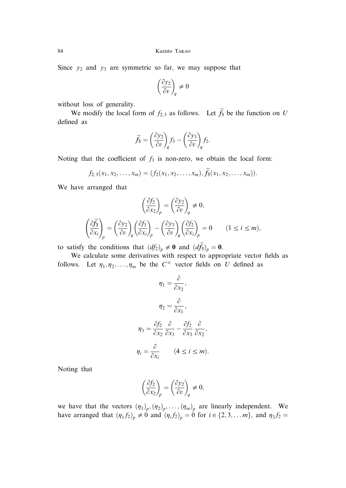Since  $y_2$  and  $y_3$  are symmetric so far, we may suppose that

$$
\left(\frac{\partial y_2}{\partial v}\right)_q \neq 0
$$

without loss of generality.

We modify the local form of  $f_{2,3}$  as follows. Let  $f_3$  be the function on U defined as

$$
\widetilde{f}_3 = \left(\frac{\partial y_2}{\partial v}\right)_q f_3 - \left(\frac{\partial y_3}{\partial v}\right)_q f_2.
$$

Noting that the coefficient of  $f_3$  is non-zero, we obtain the local form:

$$
f_{2,3}(x_1,x_2,\ldots,x_m)=(f_2(x_1,x_2,\ldots,x_m),\tilde{f}_3(x_1,x_2,\ldots,x_m)).
$$

We have arranged that

$$
\left(\frac{\partial f_2}{\partial x_2}\right)_p = \left(\frac{\partial y_2}{\partial v}\right)_q \neq 0,
$$
\n
$$
\left(\frac{\partial f_3}{\partial x_i}\right)_p = \left(\frac{\partial y_2}{\partial v}\right)_q \left(\frac{\partial f_3}{\partial x_i}\right)_p - \left(\frac{\partial y_3}{\partial v}\right)_q \left(\frac{\partial f_2}{\partial x_i}\right)_p = 0 \qquad (1 \le i \le m),
$$

to satisfy the conditions that  $(df_2)_p \neq 0$  and  $(df_3)_p = 0$ .

We calculate some derivatives with respect to appropriate vector fields as follows. Let  $\eta_1, \eta_2, \ldots, \eta_m$  be the  $C^{\infty}$  vector fields on U defined as

$$
\eta_1 = \frac{\partial}{\partial x_2},
$$

$$
\eta_2 = \frac{\partial}{\partial x_1},
$$

$$
\eta_3 = \frac{\partial f_2}{\partial x_2} \frac{\partial}{\partial x_3} - \frac{\partial f_2}{\partial x_3} \frac{\partial}{\partial x_2},
$$

$$
\eta_i = \frac{\partial}{\partial x_i} \qquad (4 \le i \le m).
$$

Noting that

$$
\left(\frac{\partial f_2}{\partial x_2}\right)_p = \left(\frac{\partial y_2}{\partial v}\right)_q \neq 0,
$$

we have that the vectors  $(\eta_1)_p, (\eta_2)_p, \ldots, (\eta_m)_p$  are linearly independent. We have arranged that  $(\eta_1 f_2)_p \neq 0$  and  $(\eta_i f_2)_p = 0$  for  $i \in \{2, 3, \dots m\}$ , and  $\eta_3 f_2 =$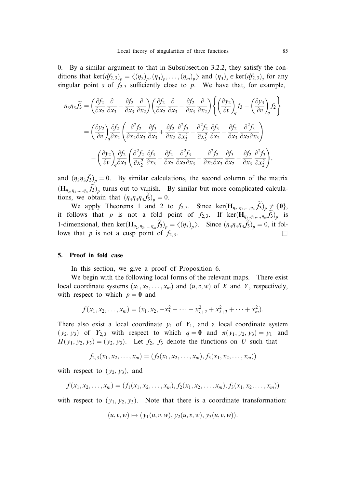0. By a similar argument to that in Subsubsection 3.2.2, they satisfy the conditions that ker $(df_{2,3})_p = \langle (\eta_2)_p, (\eta_3)_p, \ldots, (\eta_m)_p \rangle$  and  $(\eta_3)_s \in \text{ker}(df_{2,3})_s$  for any singular point s of  $f_{2,3}$  sufficiently close to p. We have that, for example,

$$
\eta_{3}\eta_{3}\widetilde{f}_{3} = \left(\frac{\partial f_{2}}{\partial x_{2}}\frac{\partial}{\partial x_{3}} - \frac{\partial f_{2}}{\partial x_{3}}\frac{\partial}{\partial x_{2}}\right)\left(\frac{\partial f_{2}}{\partial x_{2}}\frac{\partial}{\partial x_{3}} - \frac{\partial f_{2}}{\partial x_{3}}\frac{\partial}{\partial x_{2}}\right)\left\{ \left(\frac{\partial y_{2}}{\partial v}\right)_{q}f_{3} - \left(\frac{\partial y_{3}}{\partial v}\right)_{q}f_{2} \right\}
$$

$$
= \left(\frac{\partial y_{2}}{\partial v}\right)_{q}\frac{\partial f_{2}}{\partial x_{2}}\left(\frac{\partial^{2} f_{2}}{\partial x_{2} \partial x_{3}}\frac{\partial f_{3}}{\partial x_{3}} + \frac{\partial f_{2}}{\partial x_{2}}\frac{\partial^{2} f_{3}}{\partial x_{3}^{2}} - \frac{\partial^{2} f_{2}}{\partial x_{3}^{2}}\frac{\partial f_{3}}{\partial x_{2}} - \frac{\partial f_{2}}{\partial x_{3}}\frac{\partial^{2} f_{3}}{\partial x_{2} \partial x_{3}} \right)
$$

$$
- \left(\frac{\partial y_{2}}{\partial v}\right)_{q}\frac{\partial f_{2}}{\partial x_{3}}\left(\frac{\partial^{2} f_{2}}{\partial x_{2}^{2}}\frac{\partial f_{3}}{\partial x_{3}} + \frac{\partial f_{2}}{\partial x_{2}}\frac{\partial^{2} f_{3}}{\partial x_{2} \partial x_{3}} - \frac{\partial^{2} f_{2}}{\partial x_{2} \partial x_{3}}\frac{\partial f_{3}}{\partial x_{2}} - \frac{\partial f_{2}}{\partial x_{3}}\frac{\partial^{2} f_{3}}{\partial x_{2}^{2}} \right),
$$

and  $(\eta_3\eta_3\tilde{f}_3)_p = 0$ . By similar calculations, the second column of the matrix  $(\mathbf{H}_{\eta_2,\eta_3,\dots,\eta_m}f_3)$ <sub>p</sub> turns out to vanish. By similar but more complicated calculations, we obtain that  $(\eta_3 \eta_3 \eta_3 f_3)_p = 0$ .

We apply Theorems 1 and 2 to  $f_{2,3}$ . Since ker $(\mathbf{H}_{\eta_2,\eta_3,\dots,\eta_m}\tilde{f}_3)_p \neq \{0\},$ it follows that p is not a fold point of  $f_{2,3}$ . If  $\ker(\mathbf{H}_{\eta_2,\eta_3,\dots,\eta_m}f_3)_{p}$  is 1-dimensional, then ker $(\mathbf{H}_{\eta_2, \eta_3, ..., \eta_m} \tilde{f}_3)_p = \langle (\eta_3)_p \rangle$ . Since  $(\eta_3 \eta_3 \eta_3 \tilde{f}_3)_p = 0$ , it follows that p is not a cusp point of  $f_{2,3}$ .

# 5. Proof in fold case

In this section, we give a proof of Proposition 6.

We begin with the following local forms of the relevant maps. There exist local coordinate systems  $(x_1, x_2, \ldots, x_m)$  and  $(u, v, w)$  of X and Y, respectively, with respect to which  $p = 0$  and

$$
f(x_1, x_2,..., x_m) = (x_1, x_2, -x_3^2 - \cdots - x_{\lambda+2}^2 + x_{\lambda+3}^2 + \cdots + x_m^2).
$$

There also exist a local coordinate  $y_1$  of  $Y_1$ , and a local coordinate system  $(y_2, y_3)$  of  $Y_{2,3}$  with respect to which  $q = 0$  and  $\pi(y_1, y_2, y_3) = y_1$  and  $\Pi(y_1, y_2, y_3) = (y_2, y_3)$ . Let  $f_2$ ,  $f_3$  denote the functions on U such that

$$
f_{2,3}(x_1,x_2,\ldots,x_m)=(f_2(x_1,x_2,\ldots,x_m),f_3(x_1,x_2,\ldots,x_m))
$$

with respect to  $(y_2, y_3)$ , and

$$
f(x_1, x_2, \ldots, x_m) = (f_1(x_1, x_2, \ldots, x_m), f_2(x_1, x_2, \ldots, x_m), f_3(x_1, x_2, \ldots, x_m))
$$

with respect to  $(y_1, y_2, y_3)$ . Note that there is a coordinate transformation:

$$
(u, v, w) \mapsto (y_1(u, v, w), y_2(u, v, w), y_3(u, v, w)).
$$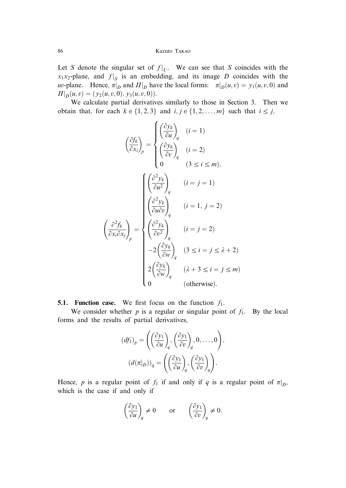Let S denote the singular set of  $f|_U$ . We can see that S coincides with the  $x_1x_2$ -plane, and  $f|_S$  is an embedding, and its image D coincides with the *uv*-plane. Hence,  $\pi|_D$  and  $\Pi|_D$  have the local forms:  $\pi|_D(u, v) = y_1(u, v, 0)$  and  $\Pi|_D(u, v) = (y_2(u, v, 0), y_3(u, v, 0)).$ 

We calculate partial derivatives similarly to those in Section 3. Then we obtain that, for each  $k \in \{1, 2, 3\}$  and  $i, j \in \{1, 2, \ldots, m\}$  such that  $i \leq j$ ,

$$
\left(\frac{\partial f_k}{\partial x_i}\right)_p = \begin{cases}\n\left(\frac{\partial y_k}{\partial u}\right)_q & (i = 1) \\
\left(\frac{\partial y_k}{\partial v}\right)_q & (i = 2) \\
0 & (3 \le i \le m),\n\end{cases}
$$
\n
$$
\left(\frac{\left(\frac{\partial^2 y_k}{\partial u^2}\right)_q}{\left(\frac{\partial^2 y_k}{\partial u \partial v}\right)_q} \right)_i \quad (i = 1, j = 2)
$$
\n
$$
\left(\frac{\partial^2 f_k}{\partial x_i \partial x_j}\right)_p = \begin{cases}\n\left(\frac{\partial^2 y_k}{\partial u \partial v}\right)_q & (i = j = 2) \\
\left(\frac{\partial^2 y_k}{\partial v^2}\right)_q & (i = j = 2) \\
-2\left(\frac{\partial y_k}{\partial w}\right)_q & (3 \le i = j \le \lambda + 2) \\
2\left(\frac{\partial y_k}{\partial w}\right)_q & (\lambda + 3 \le i = j \le m) \\
0 & \text{(otherwise)}.\n\end{cases}
$$

**5.1. Function case.** We first focus on the function  $f_1$ .

We consider whether p is a regular or singular point of  $f_1$ . By the local forms and the results of partial derivatives,

$$
(df_1)_p = \left( \left( \frac{\partial y_1}{\partial u} \right)_q, \left( \frac{\partial y_1}{\partial v} \right)_q, 0, \dots, 0 \right),
$$

$$
(d(\pi|_D))_q = \left( \left( \frac{\partial y_1}{\partial u} \right)_q, \left( \frac{\partial y_1}{\partial v} \right)_q \right).
$$

Hence, p is a regular point of  $f_1$  if and only if q is a regular point of  $\pi|_{D}$ , which is the case if and only if

$$
\left(\frac{\partial y_1}{\partial u}\right)_q\neq 0\qquad\text{or}\qquad \left(\frac{\partial y_1}{\partial v}\right)_q\neq 0.
$$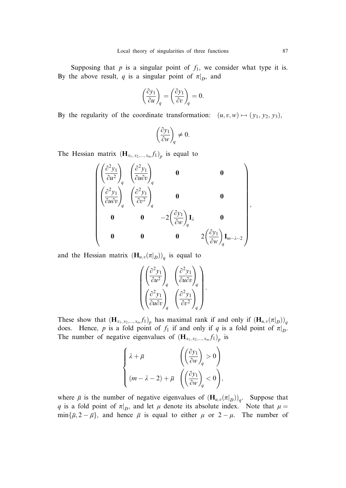Supposing that  $p$  is a singular point of  $f_1$ , we consider what type it is. By the above result, q is a singular point of  $\pi|_D$ , and

$$
\left(\frac{\partial y_1}{\partial u}\right)_q = \left(\frac{\partial y_1}{\partial v}\right)_q = 0.
$$

By the regularity of the coordinate transformation:  $(u, v, w) \mapsto (y_1, y_2, y_3)$ ,

$$
\left(\frac{\partial y_1}{\partial w}\right)_q \neq 0.
$$

The Hessian matrix  $(\mathbf{H}_{x_1, x_2, ..., x_m} f_1)_p$  is equal to

$$
\begin{pmatrix}\n\left(\frac{\partial^2 y_1}{\partial u^2}\right)_q & \left(\frac{\partial^2 y_1}{\partial u \partial v}\right)_q & \mathbf{0} & \mathbf{0} \\
\left(\frac{\partial^2 y_1}{\partial u \partial v}\right)_q & \left(\frac{\partial^2 y_1}{\partial v^2}\right)_q & \mathbf{0} & \mathbf{0} \\
\mathbf{0} & \mathbf{0} & -2\left(\frac{\partial y_1}{\partial w}\right)_q \mathbf{I}_{\lambda} & \mathbf{0} \\
\mathbf{0} & \mathbf{0} & \mathbf{0} & 2\left(\frac{\partial y_1}{\partial w}\right)_q \mathbf{I}_{m-\lambda-2}\n\end{pmatrix}
$$

and the Hessian matrix  $(\mathbf{H}_{u,v}(\pi|_{D}))_q$  is equal to

$$
\begin{pmatrix}\left(\frac{\partial^2 y_1}{\partial u^2}\right)_q & \left(\frac{\partial^2 y_1}{\partial u \partial v}\right)_q \\ \left(\frac{\partial^2 y_1}{\partial u \partial v}\right)_q & \left(\frac{\partial^2 y_1}{\partial v^2}\right)_q\end{pmatrix}.
$$

These show that  $(\mathbf{H}_{x_1, x_2,...,x_m} f_1)_p$  has maximal rank if and only if  $(\mathbf{H}_{u,v}(\pi|_D))_q$ does. Hence, p is a fold point of  $f_1$  if and only if q is a fold point of  $\pi|_{D}$ . The number of negative eigenvalues of  $(\mathbf{H}_{x_1, x_2, ..., x_m} f_1)_p$  is

$$
\label{eq:2.1} \left\{ \begin{aligned} &\lambda + \overline{\mu} & \left( \left( \frac{\partial y_1}{\partial w} \right)_q > 0 \right) \\ & (m - \lambda - 2) + \overline{\mu} & \left( \left( \frac{\partial y_1}{\partial w} \right)_q < 0 \right), \end{aligned} \right.
$$

where  $\bar{\mu}$  is the number of negative eigenvalues of  $(\mathbf{H}_{u,v}(\pi|_{D}))_q$ . Suppose that q is a fold point of  $\pi|_{D}$ , and let  $\mu$  denote its absolute index. Note that  $\mu =$  $\min{\{\overline{\mu}, 2 - \overline{\mu}\}}$ , and hence  $\overline{\mu}$  is equal to either  $\mu$  or  $2 - \mu$ . The number of

;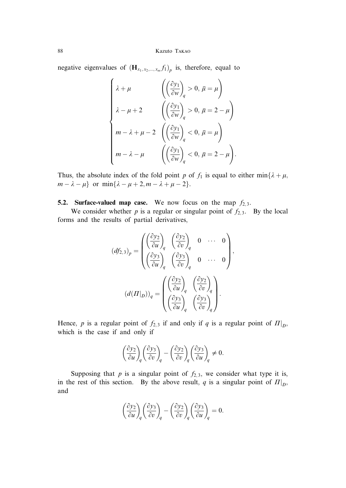negative eigenvalues of  $(\mathbf{H}_{x_1, x_2, ..., x_m} f_1)_p$  is, therefore, equal to

$$
\begin{cases} \lambda + \mu & \left( \left( \frac{\partial y_1}{\partial w} \right)_q > 0, \, \overline{\mu} = \mu \right) \\ \lambda - \mu + 2 & \left( \left( \frac{\partial y_1}{\partial w} \right)_q > 0, \, \overline{\mu} = 2 - \mu \right) \\ m - \lambda + \mu - 2 & \left( \left( \frac{\partial y_1}{\partial w} \right)_q < 0, \, \overline{\mu} = \mu \right) \\ m - \lambda - \mu & \left( \left( \frac{\partial y_1}{\partial w} \right)_q < 0, \, \overline{\mu} = 2 - \mu \right). \end{cases}
$$

Thus, the absolute index of the fold point p of  $f_1$  is equal to either min $\{\lambda + \mu, \lambda\}$  $m - \lambda - \mu$  or min $\{\lambda - \mu + 2, m - \lambda + \mu - 2\}.$ 

# **5.2. Surface-valued map case.** We now focus on the map  $f_{2,3}$ .

We consider whether p is a regular or singular point of  $f_{2,3}$ . By the local forms and the results of partial derivatives,

$$
(df_{2,3})_p = \begin{pmatrix} \left(\frac{\partial y_2}{\partial u}\right)_q & \left(\frac{\partial y_2}{\partial v}\right)_q & 0 & \cdots & 0\\ \left(\frac{\partial y_3}{\partial u}\right)_q & \left(\frac{\partial y_3}{\partial v}\right)_q & 0 & \cdots & 0 \end{pmatrix},
$$

$$
(d(\Pi|_D))_q = \begin{pmatrix} \left(\frac{\partial y_2}{\partial u}\right)_q & \left(\frac{\partial y_2}{\partial v}\right)_q\\ \left(\frac{\partial y_3}{\partial u}\right)_q & \left(\frac{\partial y_3}{\partial v}\right)_q \end{pmatrix}.
$$

Hence, p is a regular point of  $f_{2,3}$  if and only if q is a regular point of  $\Pi|_{D}$ , which is the case if and only if

$$
\left(\frac{\partial y_2}{\partial u}\right)_q \left(\frac{\partial y_3}{\partial v}\right)_q - \left(\frac{\partial y_2}{\partial v}\right)_q \left(\frac{\partial y_3}{\partial u}\right)_q \neq 0.
$$

Supposing that p is a singular point of  $f_{2,3}$ , we consider what type it is, in the rest of this section. By the above result, q is a singular point of  $\Pi|_{D}$ , and

$$
\left(\frac{\partial y_2}{\partial u}\right)_q \left(\frac{\partial y_3}{\partial v}\right)_q - \left(\frac{\partial y_2}{\partial v}\right)_q \left(\frac{\partial y_3}{\partial u}\right)_q = 0.
$$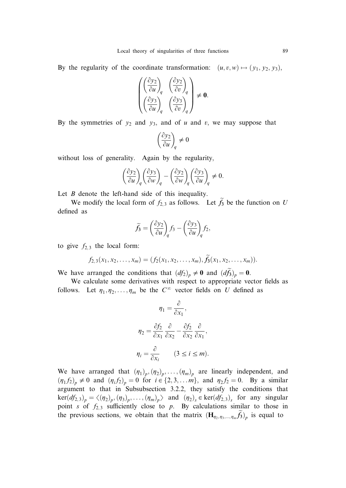By the regularity of the coordinate transformation:  $(u, v, w) \mapsto (y_1, y_2, y_3)$ ,

$$
\begin{pmatrix}\n\left(\frac{\partial y_2}{\partial u}\right)_q & \left(\frac{\partial y_2}{\partial v}\right)_q \\
\left(\frac{\partial y_3}{\partial u}\right)_q & \left(\frac{\partial y_3}{\partial v}\right)_q\n\end{pmatrix} \neq \mathbf{0}.
$$

By the symmetries of  $y_2$  and  $y_3$ , and of u and v, we may suppose that

$$
\left(\frac{\partial y_2}{\partial u}\right)_q\neq 0
$$

without loss of generality. Again by the regularity,

$$
\left(\frac{\partial y_2}{\partial u}\right)_q\left(\frac{\partial y_3}{\partial w}\right)_q-\left(\frac{\partial y_2}{\partial w}\right)_q\left(\frac{\partial y_3}{\partial u}\right)_q\neq 0.
$$

Let  $B$  denote the left-hand side of this inequality.

We modify the local form of  $f_{2,3}$  as follows. Let  $f_3$  be the function on U defined as

$$
\widetilde{f}_3 = \left(\frac{\partial y_2}{\partial u}\right)_q f_3 - \left(\frac{\partial y_3}{\partial u}\right)_q f_2,
$$

to give  $f_{2,3}$  the local form:

$$
f_{2,3}(x_1,x_2,\ldots,x_m)=(f_2(x_1,x_2,\ldots,x_m),\tilde{f}_3(x_1,x_2,\ldots,x_m)).
$$

We have arranged the conditions that  $(df_2)_p \neq 0$  and  $(d\tilde{f}_3)_p = 0$ .

We calculate some derivatives with respect to appropriate vector fields as follows. Let  $\eta_1, \eta_2, \ldots, \eta_m$  be the  $C^{\infty}$  vector fields on U defined as

$$
\eta_1 = \frac{\partial}{\partial x_1},
$$

$$
\eta_2 = \frac{\partial f_2}{\partial x_1} \frac{\partial}{\partial x_2} - \frac{\partial f_2}{\partial x_2} \frac{\partial}{\partial x_1},
$$

$$
\eta_i = \frac{\partial}{\partial x_i} \qquad (3 \le i \le m).
$$

We have arranged that  $(\eta_1)_p, (\eta_2)_p, \ldots, (\eta_m)_p$  are linearly independent, and  $(\eta_1 f_2)_p \neq 0$  and  $(\eta_i f_2)_p = 0$  for  $i \in \{2, 3, \ldots m\}$ , and  $\eta_2 f_2 = 0$ . By a similar argument to that in Subsubsection 3.2.2, they satisfy the conditions that  $\text{ker}(df_{2,3})_p = \langle (\eta_2)_p, (\eta_3)_p, \dots, (\eta_m)_p \rangle$  and  $(\eta_2)_s \in \text{ker}(df_{2,3})_s$  for any singular point s of  $f_{2,3}$  sufficiently close to p. By calculations similar to those in the previous sections, we obtain that the matrix  $(\mathbf{H}_{\eta_2, \eta_3, ..., \eta_m} f_3)_{p}$  is equal to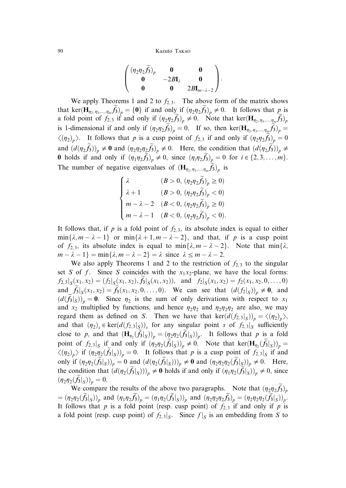$$
\left(\begin{matrix}(\eta_2\eta_2\widetilde{f_3})_p&\textbf{0}&\textbf{0}\\ \textbf{0}&-2B\textbf{I}_{\lambda}&\textbf{0}\\ \textbf{0}&\textbf{0}&2B\textbf{I}_{m-\lambda-2}\end{matrix}\right).
$$

We apply Theorems 1 and 2 to  $f_{2,3}$ . The above form of the matrix shows that ker $(\mathbf{H}_{\eta_2, \eta_3, ..., \eta_m} \widetilde{f}_3)_p = \{0\}$  if and only if  $(\eta_2 \eta_2 \widetilde{f}_3)_p \neq 0$ . It follows that  $p$  is a fold point of  $f_{2,3}$  if and only if  $(\eta_2 \eta_2 \tilde{f}_3)_{p} \neq 0$ . Note that ker $(\mathbf{H}_{\eta_2,\eta_3,\dots,\eta_m} \tilde{f}_3)_{p}$ is 1-dimensional if and only if  $(\eta_2 \eta_2 f_3)_p = 0$ . If so, then ker $(\mathbf{H}_{\eta_2,\eta_3,\dots,\eta_m} f_3)_p =$  $\langle (\eta_2)_p \rangle$ . It follows that p is a cusp point of  $f_{2,3}$  if and only if  $(\eta_2 \eta_2 \tilde{f}_3)_p = 0$ and  $(d(\eta_2 \tilde{f}_3))_p \neq 0$  and  $(\eta_2 \eta_2 \tilde{f}_3)_p \neq 0$ . Here, the condition that  $(d(\eta_2 \tilde{f}_3))_p \neq 0$ 0 holds if and only if  $(\eta_1\eta_2\tilde{f}_3)_p \neq 0$ , since  $(\eta_i\eta_2\tilde{f}_3)_p = 0$  for  $i \in \{2, 3, \ldots, m\}$ . The number of negative eigenvalues of  $(\mathbf{H}_{\eta_2, \eta_3, \dots, \eta_m} f_3)_{p}$  is

$$
\begin{cases} \lambda & (B>0,\, (\eta_2\eta_2\widetilde{f_3})_p\geq 0) \\ \lambda+1 & (B>0,\, (\eta_2\eta_2\widetilde{f_3})_p<0) \\ m-\lambda-2 & (B<0,\, (\eta_2\eta_2\widetilde{f_3})_p\geq 0) \\ m-\lambda-1 & (B<0,\, (\eta_2\eta_2\widetilde{f_3})_p<0). \end{cases}
$$

It follows that, if p is a fold point of  $f_{2,3}$ , its absolute index is equal to either  $\min\{\lambda, m - \lambda - 1\}$  or  $\min\{\lambda + 1, m - \lambda - 2\}$ , and that, if p is a cusp point of  $f_{2,3}$ , its absolute index is equal to min $\{\lambda, m - \lambda - 2\}$ . Note that min $\{\lambda, m - \lambda\}$  $m - \lambda - 1$  = min{ $\lambda$ ,  $m - \lambda - 2$ } =  $\lambda$  since  $\lambda \le m - \lambda - 2$ .

We also apply Theorems 1 and 2 to the restriction of  $f_{2,3}$  to the singular set S of f. Since S coincides with the  $x_1x_2$ -plane, we have the local forms:  $f_{2,3}|_S(x_1,x_2)=(f_2|_S(x_1,x_2),f_3|_S(x_1,x_2)),$  and  $f_2|_S(x_1,x_2)=f_2(x_1,x_2,0,\ldots,0)$ and  $\tilde{f}_3|_S(x_1,x_2)=\tilde{f}_3(x_1,x_2,0,\ldots,0)$ . We can see that  $(d(f_2|_S))_p \neq 0$ , and  $(d(f_3|_S))_p = 0$ . Since  $\eta_2$  is the sum of only derivations with respect to  $x_1$ and  $x_2$  multiplied by functions, and hence  $\eta_2\eta_2$  and  $\eta_2\eta_2\eta_2$  are also, we may regard them as defined on S. Then we have that  $\text{ker}(d(f_{2,3}|_S))_p = \langle (\eta_2)_p \rangle$ , and that  $(\eta_2)$ <sub>s</sub>  $\in \text{ker}(d(f_{2,3}|_S))$ <sub>s</sub> for any singular point s of  $f_{2,3}|_S$  sufficiently close to p, and that  $(\mathbf{H}_{\eta_2}(f_3|_S))_p = (\eta_2 \eta_2(f_3|_S))_p$ . It follows that p is a fold point of  $f_{2,3}|_S$  if and only if  $(\eta_2\eta_2(\tilde{f}_3|_S))_p \neq 0$ . Note that  $\ker(\mathbf{H}_{\eta_2}(\tilde{f}_3|_S))_p =$  $\langle (\eta_2)_p \rangle$  if  $(\eta_2 \eta_2(\tilde{f}_3|_S))_p = 0$ . It follows that p is a cusp point of  $f_{2,3}|_S$  if and only if  $(\eta_2 \eta_2(\tilde{f}_3|_S))_p = 0$  and  $(d(\eta_2(\tilde{f}_3|_S)))_p \neq \mathbf{0}$  and  $(\eta_2 \eta_2 \eta_2(\tilde{f}_3|_S))_p \neq 0$ . Here, the condition that  $(d(\eta_2(\tilde{f}_3|_S)))_p \neq 0$  holds if and only if  $(\eta_1\eta_2(\tilde{f}_3|_S))_p \neq 0$ , since  $(\eta_2\eta_2(f_3|_S))_p = 0.$ 

We compare the results of the above two paragraphs. Note that  $(\eta_2 \eta_2 f_3)_p$  $=(\eta_2\eta_2(f_3|_S))_p$  and  $(\eta_1\eta_2f_3)_p=(\eta_1\eta_2(f_3|_S))_p$  and  $(\eta_2\eta_2\eta_2f_3)_p=(\eta_2\eta_2\eta_2(f_3|_S))_p$ . It follows that p is a fold point (resp. cusp point) of  $f_{2,3}$  if and only if p is a fold point (resp. cusp point) of  $f_{2,3}|_S$ . Since  $f|_S$  is an embedding from S to